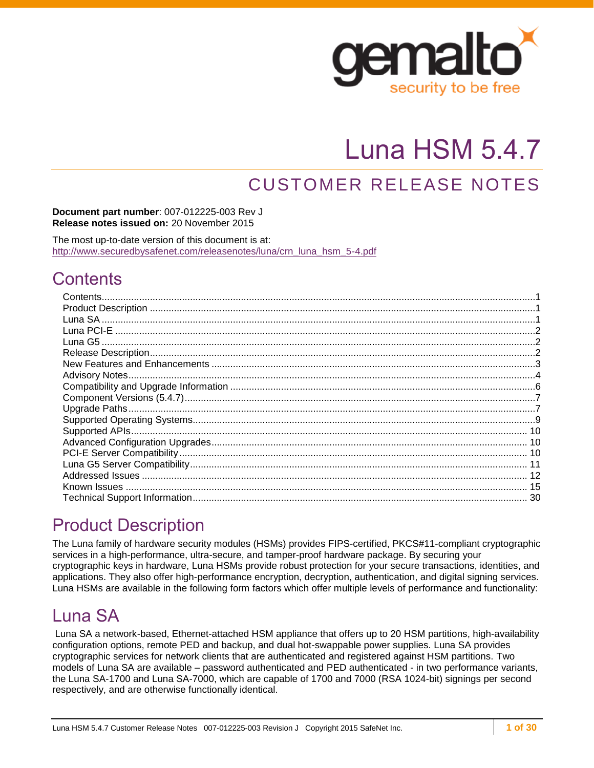

# Luna HSM 5.4.7

## CUSTOMER RELEASE NOTES

**Document part number**: 007-012225-003 Rev J **Release notes issued on:** 20 November 2015

The most up-to-date version of this document is at: [http://www.securedbysafenet.com/releasenotes/luna/crn\\_luna\\_hsm\\_5-4.pdf](http://www.securedbysafenet.com/releasenotes/luna/crn_luna_hsm_5-4.pdf)

## <span id="page-0-0"></span>**Contents**

## <span id="page-0-1"></span>Product Description

The Luna family of hardware security modules (HSMs) provides FIPS-certified, PKCS#11-compliant cryptographic services in a high-performance, ultra-secure, and tamper-proof hardware package. By securing your cryptographic keys in hardware, Luna HSMs provide robust protection for your secure transactions, identities, and applications. They also offer high-performance encryption, decryption, authentication, and digital signing services. Luna HSMs are available in the following form factors which offer multiple levels of performance and functionality:

## <span id="page-0-2"></span>Luna SA

Luna SA a network-based, Ethernet-attached HSM appliance that offers up to 20 HSM partitions, high-availability configuration options, remote PED and backup, and dual hot-swappable power supplies. Luna SA provides cryptographic services for network clients that are authenticated and registered against HSM partitions. Two models of Luna SA are available – password authenticated and PED authenticated - in two performance variants, the Luna SA-1700 and Luna SA-7000, which are capable of 1700 and 7000 (RSA 1024-bit) signings per second respectively, and are otherwise functionally identical.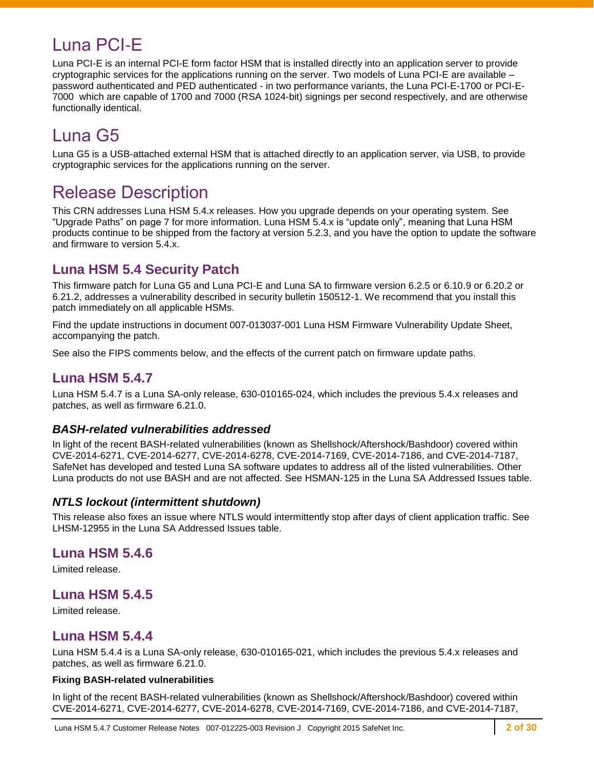## <span id="page-1-0"></span>Luna PCI-E

Luna PCI-E is an internal PCI-E form factor HSM that is installed directly into an application server to provide cryptographic services for the applications running on the server. Two models of Luna PCI-E are available – password authenticated and PED authenticated - in two performance variants, the Luna PCI-E-1700 or PCI-E-7000 which are capable of 1700 and 7000 (RSA 1024-bit) signings per second respectively, and are otherwise functionally identical.

## <span id="page-1-1"></span>Luna G5

Luna G5 is a USB-attached external HSM that is attached directly to an application server, via USB, to provide cryptographic services for the applications running on the server.

## <span id="page-1-2"></span>Release Description

This CRN addresses Luna HSM 5.4.x releases. How you upgrade depends on your operating system. See ["Upgrade Paths"](#page-6-1) on page [7](#page-6-1) for more information. Luna HSM 5.4.x is "update only", meaning that Luna HSM products continue to be shipped from the factory at version 5.2.3, and you have the option to update the software and firmware to version 5.4.x.

### **Luna HSM 5.4 Security Patch**

This firmware patch for Luna G5 and Luna PCI-E and Luna SA to firmware version 6.2.5 or 6.10.9 or 6.20.2 or 6.21.2, addresses a vulnerability described in security bulletin 150512-1. We recommend that you install this patch immediately on all applicable HSMs.

Find the update instructions in document 007-013037-001 Luna HSM Firmware Vulnerability Update Sheet, accompanying the patch.

See also the FIPS comments below, and the effects of the current patch on firmware update paths.

### **Luna HSM 5.4.7**

Luna HSM 5.4.7 is a Luna SA-only release, 630-010165-024, which includes the previous 5.4.x releases and patches, as well as firmware 6.21.0.

#### *BASH-related vulnerabilities addressed*

In light of the recent BASH-related vulnerabilities (known as Shellshock/Aftershock/Bashdoor) covered within CVE-2014-6271, CVE-2014-6277, CVE-2014-6278, CVE-2014-7169, CVE-2014-7186, and CVE-2014-7187, SafeNet has developed and tested Luna SA software updates to address all of the listed vulnerabilities. Other Luna products do not use BASH and are not affected. See HSMAN-125 in the Luna SA Addressed Issues table.

#### *NTLS lockout (intermittent shutdown)*

This release also fixes an issue where NTLS would intermittently stop after days of client application traffic. See LHSM-12955 in the Luna SA Addressed Issues table.

### **Luna HSM 5.4.6**

Limited release.

### **Luna HSM 5.4.5**

Limited release.

### **Luna HSM 5.4.4**

Luna HSM 5.4.4 is a Luna SA-only release, 630-010165-021, which includes the previous 5.4.x releases and patches, as well as firmware 6.21.0.

#### **Fixing BASH-related vulnerabilities**

In light of the recent BASH-related vulnerabilities (known as Shellshock/Aftershock/Bashdoor) covered within CVE-2014-6271, CVE-2014-6277, CVE-2014-6278, CVE-2014-7169, CVE-2014-7186, and CVE-2014-7187,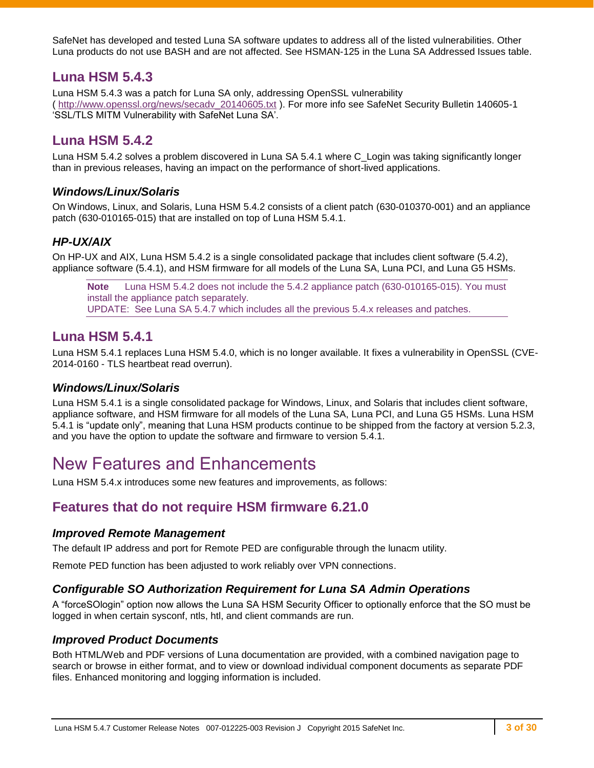SafeNet has developed and tested Luna SA software updates to address all of the listed vulnerabilities. Other Luna products do not use BASH and are not affected. See HSMAN-125 in the Luna SA Addressed Issues table.

### **Luna HSM 5.4.3**

Luna HSM 5.4.3 was a patch for Luna SA only, addressing OpenSSL vulnerability ( [http://www.openssl.org/news/secadv\\_20140605.txt](http://www.openssl.org/news/secadv_20140605.txt) ). For more info see SafeNet Security Bulletin 140605-1 'SSL/TLS MITM Vulnerability with SafeNet Luna SA'.

### **Luna HSM 5.4.2**

Luna HSM 5.4.2 solves a problem discovered in Luna SA 5.4.1 where C\_Login was taking significantly longer than in previous releases, having an impact on the performance of short-lived applications.

#### *Windows/Linux/Solaris*

On Windows, Linux, and Solaris, Luna HSM 5.4.2 consists of a client patch (630-010370-001) and an appliance patch (630-010165-015) that are installed on top of Luna HSM 5.4.1.

#### *HP-UX/AIX*

On HP-UX and AIX, Luna HSM 5.4.2 is a single consolidated package that includes client software (5.4.2), appliance software (5.4.1), and HSM firmware for all models of the Luna SA, Luna PCI, and Luna G5 HSMs.

**Note** Luna HSM 5.4.2 does not include the 5.4.2 appliance patch (630-010165-015). You must install the appliance patch separately. UPDATE: See Luna SA 5.4.7 which includes all the previous 5.4.x releases and patches.

### **Luna HSM 5.4.1**

Luna HSM 5.4.1 replaces Luna HSM 5.4.0, which is no longer available. It fixes a vulnerability in OpenSSL (CVE-2014-0160 - TLS heartbeat read overrun).

#### *Windows/Linux/Solaris*

Luna HSM 5.4.1 is a single consolidated package for Windows, Linux, and Solaris that includes client software, appliance software, and HSM firmware for all models of the Luna SA, Luna PCI, and Luna G5 HSMs. Luna HSM 5.4.1 is "update only", meaning that Luna HSM products continue to be shipped from the factory at version 5.2.3, and you have the option to update the software and firmware to version 5.4.1.

## <span id="page-2-0"></span>New Features and Enhancements

Luna HSM 5.4.x introduces some new features and improvements, as follows:

### **Features that do not require HSM firmware 6.21.0**

#### *Improved Remote Management*

The default IP address and port for Remote PED are configurable through the lunacm utility.

Remote PED function has been adjusted to work reliably over VPN connections.

#### *Configurable SO Authorization Requirement for Luna SA Admin Operations*

A "forceSOlogin" option now allows the Luna SA HSM Security Officer to optionally enforce that the SO must be logged in when certain sysconf, ntls, htl, and client commands are run.

#### *Improved Product Documents*

Both HTML/Web and PDF versions of Luna documentation are provided, with a combined navigation page to search or browse in either format, and to view or download individual component documents as separate PDF files. Enhanced monitoring and logging information is included.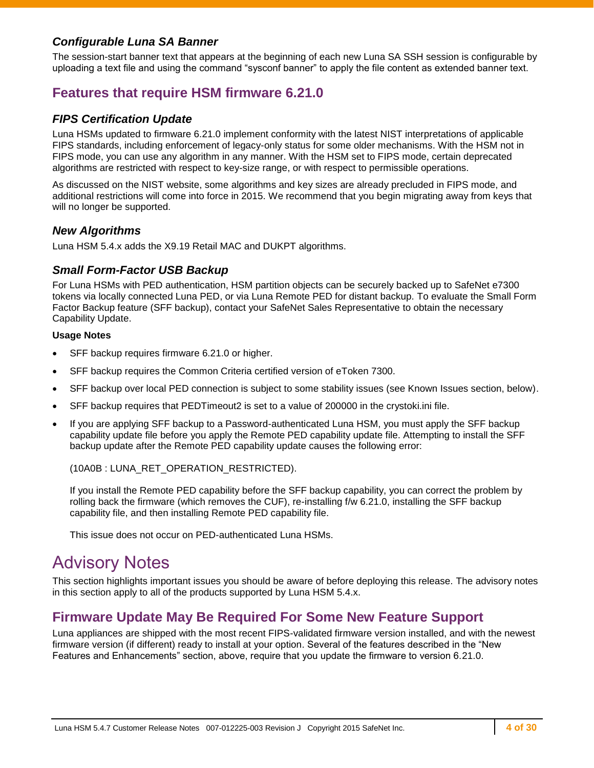#### *Configurable Luna SA Banner*

The session-start banner text that appears at the beginning of each new Luna SA SSH session is configurable by uploading a text file and using the command "sysconf banner" to apply the file content as extended banner text.

### **Features that require HSM firmware 6.21.0**

#### *FIPS Certification Update*

Luna HSMs updated to firmware 6.21.0 implement conformity with the latest NIST interpretations of applicable FIPS standards, including enforcement of legacy-only status for some older mechanisms. With the HSM not in FIPS mode, you can use any algorithm in any manner. With the HSM set to FIPS mode, certain deprecated algorithms are restricted with respect to key-size range, or with respect to permissible operations.

As discussed on the NIST website, some algorithms and key sizes are already precluded in FIPS mode, and additional restrictions will come into force in 2015. We recommend that you begin migrating away from keys that will no longer be supported.

#### *New Algorithms*

Luna HSM 5.4.x adds the X9.19 Retail MAC and DUKPT algorithms.

#### *Small Form-Factor USB Backup*

For Luna HSMs with PED authentication, HSM partition objects can be securely backed up to SafeNet e7300 tokens via locally connected Luna PED, or via Luna Remote PED for distant backup. To evaluate the Small Form Factor Backup feature (SFF backup), contact your SafeNet Sales Representative to obtain the necessary Capability Update.

#### **Usage Notes**

- SFF backup requires firmware 6.21.0 or higher.
- SFF backup requires the Common Criteria certified version of eToken 7300.
- SFF backup over local PED connection is subject to some stability issues (see Known Issues section, below).
- SFF backup requires that PEDTimeout2 is set to a value of 200000 in the crystoki.ini file.
- If you are applying SFF backup to a Password-authenticated Luna HSM, you must apply the SFF backup capability update file before you apply the Remote PED capability update file. Attempting to install the SFF backup update after the Remote PED capability update causes the following error:

(10A0B : LUNA\_RET\_OPERATION\_RESTRICTED).

If you install the Remote PED capability before the SFF backup capability, you can correct the problem by rolling back the firmware (which removes the CUF), re-installing f/w 6.21.0, installing the SFF backup capability file, and then installing Remote PED capability file.

This issue does not occur on PED-authenticated Luna HSMs.

## <span id="page-3-0"></span>Advisory Notes

This section highlights important issues you should be aware of before deploying this release. The advisory notes in this section apply to all of the products supported by Luna HSM 5.4.x.

### **Firmware Update May Be Required For Some New Feature Support**

Luna appliances are shipped with the most recent FIPS-validated firmware version installed, and with the newest firmware version (if different) ready to install at your option. Several of the features described in the "New Features and Enhancements" section, above, require that you update the firmware to version 6.21.0.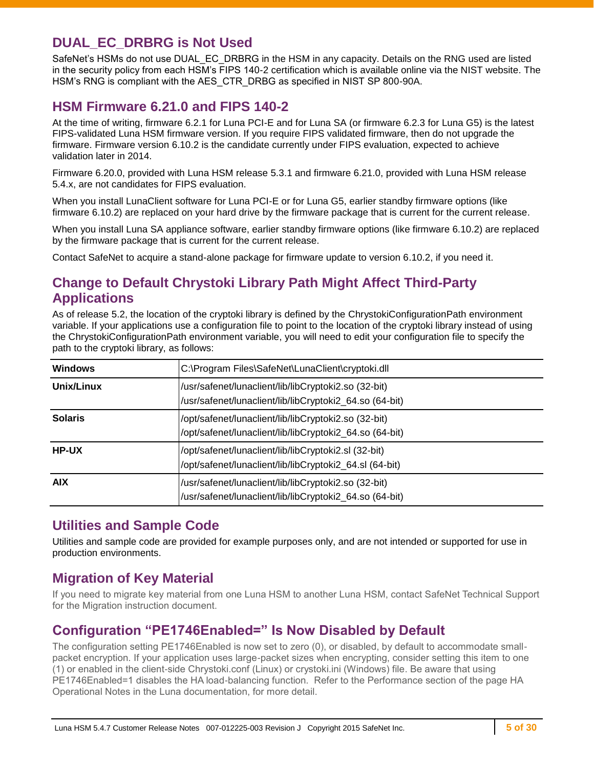### **DUAL\_EC\_DRBRG is Not Used**

SafeNet's HSMs do not use DUAL\_EC\_DRBRG in the HSM in any capacity. Details on the RNG used are listed in the security policy from each HSM's FIPS 140-2 certification which is available online via the NIST website. The HSM's RNG is compliant with the AES\_CTR\_DRBG as specified in NIST SP 800-90A.

### **HSM Firmware 6.21.0 and FIPS 140-2**

At the time of writing, firmware 6.2.1 for Luna PCI-E and for Luna SA (or firmware 6.2.3 for Luna G5) is the latest FIPS-validated Luna HSM firmware version. If you require FIPS validated firmware, then do not upgrade the firmware. Firmware version 6.10.2 is the candidate currently under FIPS evaluation, expected to achieve validation later in 2014.

Firmware 6.20.0, provided with Luna HSM release 5.3.1 and firmware 6.21.0, provided with Luna HSM release 5.4.x, are not candidates for FIPS evaluation.

When you install LunaClient software for Luna PCI-E or for Luna G5, earlier standby firmware options (like firmware 6.10.2) are replaced on your hard drive by the firmware package that is current for the current release.

When you install Luna SA appliance software, earlier standby firmware options (like firmware 6.10.2) are replaced by the firmware package that is current for the current release.

Contact SafeNet to acquire a stand-alone package for firmware update to version 6.10.2, if you need it.

### **Change to Default Chrystoki Library Path Might Affect Third-Party Applications**

As of release 5.2, the location of the cryptoki library is defined by the ChrystokiConfigurationPath environment variable. If your applications use a configuration file to point to the location of the cryptoki library instead of using the ChrystokiConfigurationPath environment variable, you will need to edit your configuration file to specify the path to the cryptoki library, as follows:

| <b>Windows</b> | C:\Program Files\SafeNet\LunaClient\cryptoki.dll                                                                |
|----------------|-----------------------------------------------------------------------------------------------------------------|
| Unix/Linux     | /usr/safenet/lunaclient/lib/libCryptoki2.so (32-bit)<br>/usr/safenet/lunaclient/lib/libCryptoki2_64.so (64-bit) |
| <b>Solaris</b> | /opt/safenet/lunaclient/lib/libCryptoki2.so (32-bit)<br>/opt/safenet/lunaclient/lib/libCryptoki2_64.so (64-bit) |
| <b>HP-UX</b>   | /opt/safenet/lunaclient/lib/libCryptoki2.sl (32-bit)<br>/opt/safenet/lunaclient/lib/libCryptoki2_64.sl (64-bit) |
| <b>AIX</b>     | /usr/safenet/lunaclient/lib/libCryptoki2.so (32-bit)<br>/usr/safenet/lunaclient/lib/libCryptoki2_64.so (64-bit) |

### **Utilities and Sample Code**

Utilities and sample code are provided for example purposes only, and are not intended or supported for use in production environments.

### **Migration of Key Material**

If you need to migrate key material from one Luna HSM to another Luna HSM, contact SafeNet Technical Support for the Migration instruction document.

### **Configuration "PE1746Enabled=" Is Now Disabled by Default**

The configuration setting PE1746Enabled is now set to zero (0), or disabled, by default to accommodate smallpacket encryption. If your application uses large-packet sizes when encrypting, consider setting this item to one (1) or enabled in the client-side Chrystoki.conf (Linux) or crystoki.ini (Windows) file. Be aware that using PE1746Enabled=1 disables the HA load-balancing function. Refer to the Performance section of the page HA Operational Notes in the Luna documentation, for more detail.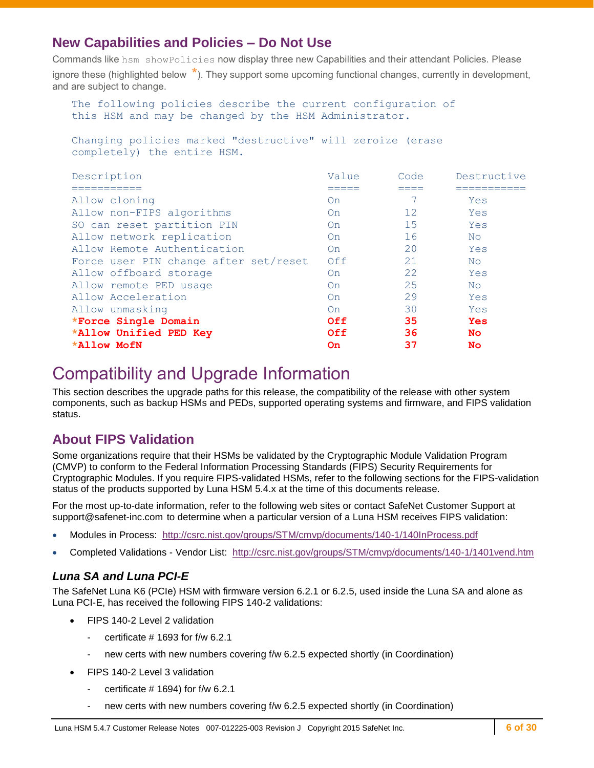### **New Capabilities and Policies – Do Not Use**

Commands like hsm showPolicies now display three new Capabilities and their attendant Policies. Please ignore these (highlighted below **\***). They support some upcoming functional changes, currently in development, and are subject to change.

```
 The following policies describe the current configuration of
this HSM and may be changed by the HSM Administrator.
```
 Changing policies marked "destructive" will zeroize (erase completely) the entire HSM.

| Description                           | Value | Code | Destructive |
|---------------------------------------|-------|------|-------------|
| ----------                            |       |      | ----------  |
| Allow cloning                         | On    |      | Yes         |
| Allow non-FIPS algorithms             | On    | 12   | Yes         |
| SO can reset partition PIN            | On    | 15   | Yes         |
| Allow network replication             | On    | 16   | No.         |
| Allow Remote Authentication           | On    | 20   | Yes         |
| Force user PIN change after set/reset | Off   | 21   | No.         |
| Allow offboard storage                | On    | 22   | Yes         |
| Allow remote PED usage                | On    | 25   | No.         |
| Allow Acceleration                    | On    | 29   | Yes         |
| Allow unmasking                       | On    | 30   | Yes         |
| *Force Single Domain                  | Off   | 35   | <b>Yes</b>  |
| *Allow Unified PED Key                | Off   | 36   | No.         |
| <b>*Allow MofN</b>                    | On    | 37   | <b>No</b>   |

## <span id="page-5-0"></span>Compatibility and Upgrade Information

This section describes the upgrade paths for this release, the compatibility of the release with other system components, such as backup HSMs and PEDs, supported operating systems and firmware, and FIPS validation status.

### **About FIPS Validation**

Some organizations require that their HSMs be validated by the Cryptographic Module Validation Program (CMVP) to conform to the Federal Information Processing Standards (FIPS) Security Requirements for Cryptographic Modules. If you require FIPS-validated HSMs, refer to the following sections for the FIPS-validation status of the products supported by Luna HSM 5.4.x at the time of this documents release.

For the most up-to-date information, refer to the following web sites or contact SafeNet Customer Support at [support@safenet-inc.com](mailto:support@safenet-inc.com) to determine when a particular version of a Luna HSM receives FIPS validation:

- Modules in Process: <http://csrc.nist.gov/groups/STM/cmvp/documents/140-1/140InProcess.pdf>
- Completed Validations Vendor List: <http://csrc.nist.gov/groups/STM/cmvp/documents/140-1/1401vend.htm>

#### *Luna SA and Luna PCI-E*

The SafeNet Luna K6 (PCIe) HSM with firmware version 6.2.1 or 6.2.5, used inside the Luna SA and alone as Luna PCI-E, has received the following FIPS 140-2 validations:

- FIPS 140-2 Level 2 validation
	- certificate  $\#$  1693 for f/w 6.2.1
	- new certs with new numbers covering f/w 6.2.5 expected shortly (in Coordination)
- FIPS 140-2 Level 3 validation
	- certificate  $# 1694$ ) for f/w 6.2.1
	- new certs with new numbers covering f/w 6.2.5 expected shortly (in Coordination)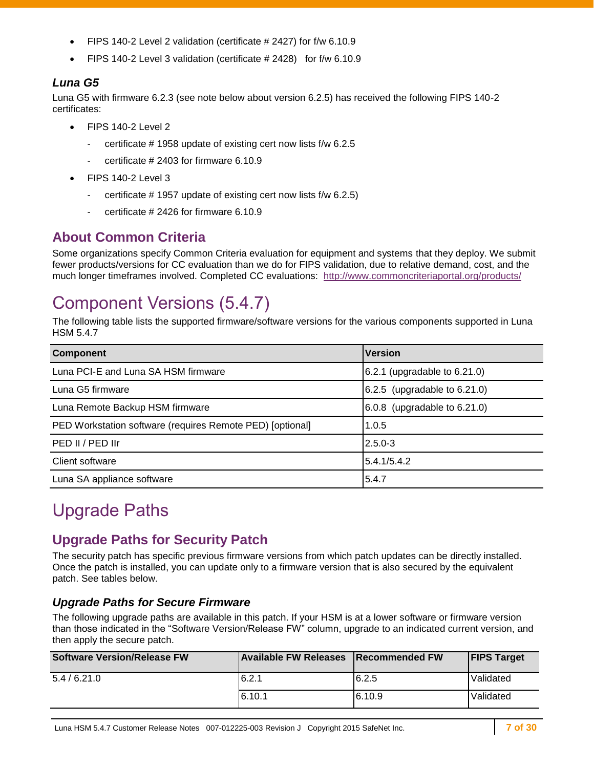- FIPS 140-2 Level 2 validation (certificate # 2427) for f/w 6.10.9
- FIPS 140-2 Level 3 validation (certificate # 2428) for f/w 6.10.9

#### *Luna G5*

Luna G5 with firmware 6.2.3 (see note below about version 6.2.5) has received the following FIPS 140-2 certificates:

- FIPS 140-2 Level 2
	- certificate # 1958 update of existing cert now lists f/w 6.2.5
	- certificate # 2403 for firmware 6.10.9
- FIPS 140-2 Level 3
	- certificate # 1957 update of existing cert now lists f/w 6.2.5)
	- certificate # 2426 for firmware 6.10.9

### **About Common Criteria**

Some organizations specify Common Criteria evaluation for equipment and systems that they deploy. We submit fewer products/versions for CC evaluation than we do for FIPS validation, due to relative demand, cost, and the much longer timeframes involved. Completed CC evaluations: <http://www.commoncriteriaportal.org/products/>

## <span id="page-6-0"></span>Component Versions (5.4.7)

The following table lists the supported firmware/software versions for the various components supported in Luna HSM 5.4.7

| <b>Component</b>                                          | <b>Version</b>                  |
|-----------------------------------------------------------|---------------------------------|
| Luna PCI-E and Luna SA HSM firmware                       | 6.2.1 (upgradable to $6.21.0$ ) |
| Luna G5 firmware                                          | 6.2.5 (upgradable to 6.21.0)    |
| Luna Remote Backup HSM firmware                           | 6.0.8 (upgradable to $6.21.0$ ) |
| PED Workstation software (requires Remote PED) [optional] | 1.0.5                           |
| PED II / PED IIr                                          | $2.5.0 - 3$                     |
| Client software                                           | 5.4.1/5.4.2                     |
| Luna SA appliance software                                | 5.4.7                           |

## <span id="page-6-1"></span>Upgrade Paths

### **Upgrade Paths for Security Patch**

The security patch has specific previous firmware versions from which patch updates can be directly installed. Once the patch is installed, you can update only to a firmware version that is also secured by the equivalent patch. See tables below.

#### *Upgrade Paths for Secure Firmware*

The following upgrade paths are available in this patch. If your HSM is at a lower software or firmware version than those indicated in the "Software Version/Release FW" column, upgrade to an indicated current version, and then apply the secure patch.

| <b>Software Version/Release FW</b> | <b>Available FW Releases</b> | <b>IRecommended FW</b> | <b>FIPS Target</b> |
|------------------------------------|------------------------------|------------------------|--------------------|
| 5.4/6.21.0                         | 6.2.1                        | 6.2.5                  | Validated          |
|                                    | 6.10.1                       | 6.10.9                 | Validated          |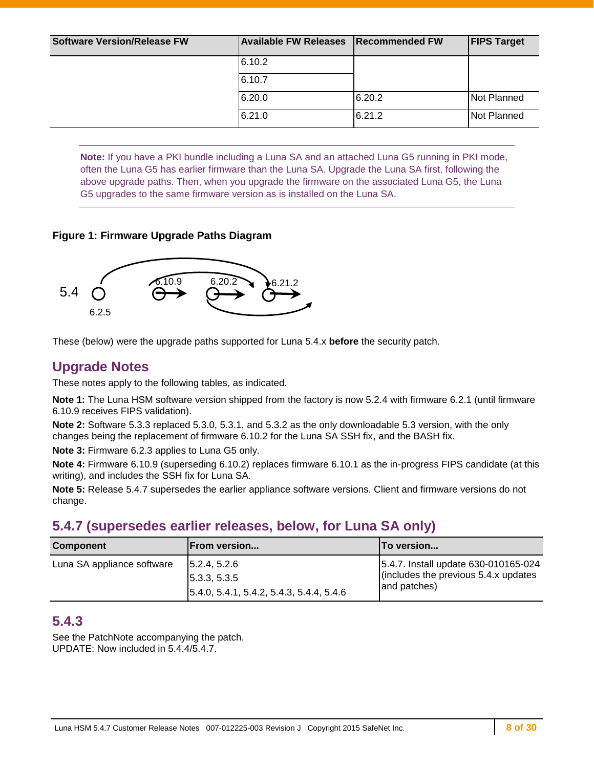| <b>Software Version/Release FW</b> | <b>Available FW Releases</b> | <b>Recommended FW</b> | <b>FIPS Target</b> |
|------------------------------------|------------------------------|-----------------------|--------------------|
|                                    | 6.10.2                       |                       |                    |
|                                    | 6.10.7                       |                       |                    |
|                                    | 6.20.0                       | 6.20.2                | Not Planned        |
|                                    | 6.21.0                       | 6.21.2                | Not Planned        |

**Note:** If you have a PKI bundle including a Luna SA and an attached Luna G5 running in PKI mode, often the Luna G5 has earlier firmware than the Luna SA. Upgrade the Luna SA first, following the above upgrade paths. Then, when you upgrade the firmware on the associated Luna G5, the Luna G5 upgrades to the same firmware version as is installed on the Luna SA.

#### **Figure 1: Firmware Upgrade Paths Diagram**



These (below) were the upgrade paths supported for Luna 5.4.x **before** the security patch.

### **Upgrade Notes**

These notes apply to the following tables, as indicated.

**Note 1:** The Luna HSM software version shipped from the factory is now 5.2.4 with firmware 6.2.1 (until firmware 6.10.9 receives FIPS validation).

**Note 2:** Software 5.3.3 replaced 5.3.0, 5.3.1, and 5.3.2 as the only downloadable 5.3 version, with the only changes being the replacement of firmware 6.10.2 for the Luna SA SSH fix, and the BASH fix.

**Note 3:** Firmware 6.2.3 applies to Luna G5 only.

**Note 4:** Firmware 6.10.9 (superseding 6.10.2) replaces firmware 6.10.1 as the in-progress FIPS candidate (at this writing), and includes the SSH fix for Luna SA.

**Note 5:** Release 5.4.7 supersedes the earlier appliance software versions. Client and firmware versions do not change.

### **5.4.7 (supersedes earlier releases, below, for Luna SA only)**

| <b>Component</b>           | <b>From version</b>                                                                    | <b>ITo version</b>                                                                             |
|----------------------------|----------------------------------------------------------------------------------------|------------------------------------------------------------------------------------------------|
| Luna SA appliance software | 5.2.4, 5.2.6<br>5.3.3, 5.3.5<br>$\vert 5.4.0, 5.4.1, 5.4.2, 5.4.3, 5.4.4, 5.4.6 \vert$ | 5.4.7. Install update 630-010165-024<br>(includes the previous $5.4.x$ updates<br>and patches) |

### **5.4.3**

See the PatchNote accompanying the patch. UPDATE: Now included in 5.4.4/5.4.7.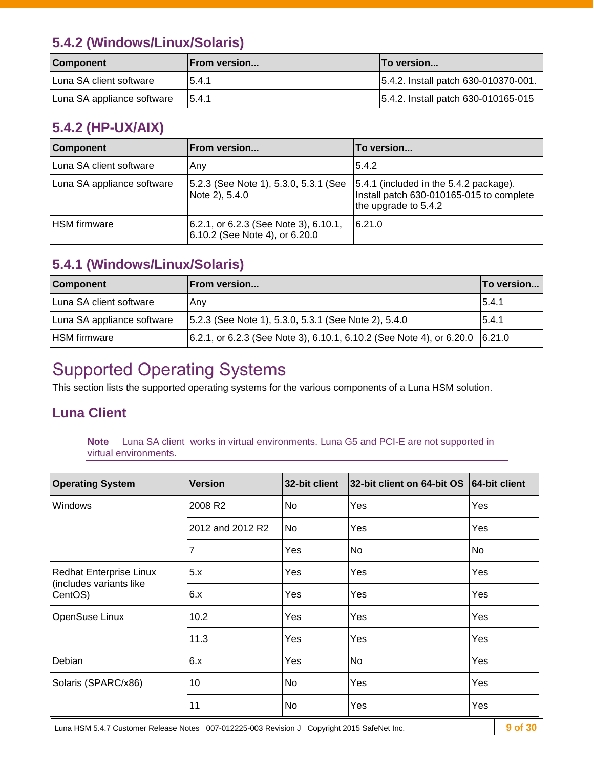### **5.4.2 (Windows/Linux/Solaris)**

| <b>Component</b>           | <b>IFrom version</b> | <b>ITo version</b>                   |
|----------------------------|----------------------|--------------------------------------|
| Luna SA client software    | 15.4.1               | 5.4.2. Install patch 630-010370-001. |
| Luna SA appliance software | 15.4.1               | 5.4.2. Install patch 630-010165-015  |

### **5.4.2 (HP-UX/AIX)**

| <b>Component</b>           | From version                                                             | To version                                                                                                 |
|----------------------------|--------------------------------------------------------------------------|------------------------------------------------------------------------------------------------------------|
| Luna SA client software    | Any                                                                      | 5.4.2                                                                                                      |
| Luna SA appliance software | [5.2.3 (See Note 1), 5.3.0, 5.3.1 (See<br>Note 2), 5.4.0                 | 5.4.1 (included in the 5.4.2 package).<br>Install patch 630-010165-015 to complete<br>the upgrade to 5.4.2 |
| <b>HSM</b> firmware        | [6.2.1, or 6.2.3 (See Note 3), 6.10.1,<br>6.10.2 (See Note 4), or 6.20.0 | 16.21.0                                                                                                    |

## **5.4.1 (Windows/Linux/Solaris)**

| <b>Component</b>           | lFrom version                                                                                                              | <b>To version</b> |
|----------------------------|----------------------------------------------------------------------------------------------------------------------------|-------------------|
| Luna SA client software    | lAnv                                                                                                                       | 15.4.1            |
| Luna SA appliance software | 5.2.3 (See Note 1), 5.3.0, 5.3.1 (See Note 2), 5.4.0                                                                       | 15.4.1            |
| <b>HSM</b> firmware        | $(6.2.1, \text{ or } 6.2.3 \text{ (See Note 3)}, 6.10.1, 6.10.2 \text{ (See Note 4)}, \text{ or } 6.20.0 \text{ [}6.21.0)$ |                   |

## <span id="page-8-0"></span>Supported Operating Systems

This section lists the supported operating systems for the various components of a Luna HSM solution.

### **Luna Client**

**Note** Luna SA client works in virtual environments. Luna G5 and PCI-E are not supported in virtual environments.

| <b>Operating System</b>                                              | <b>Version</b>   | 32-bit client | 32-bit client on 64-bit OS | 64-bit client |
|----------------------------------------------------------------------|------------------|---------------|----------------------------|---------------|
| Windows                                                              | 2008 R2          | No            | Yes                        | Yes           |
|                                                                      | 2012 and 2012 R2 | No            | Yes                        | Yes           |
|                                                                      |                  | Yes           | No                         | No            |
| <b>Redhat Enterprise Linux</b><br>(includes variants like<br>CentOS) | 5.x              | Yes           | Yes                        | Yes           |
|                                                                      | 6.x              | Yes           | Yes                        | Yes           |
| OpenSuse Linux                                                       | 10.2             | Yes           | Yes                        | Yes           |
|                                                                      | 11.3             | Yes           | Yes                        | Yes           |
| Debian                                                               | 6.x              | Yes           | No                         | Yes           |
| Solaris (SPARC/x86)                                                  | 10               | No            | Yes                        | Yes           |
|                                                                      | 11               | No            | Yes                        | Yes           |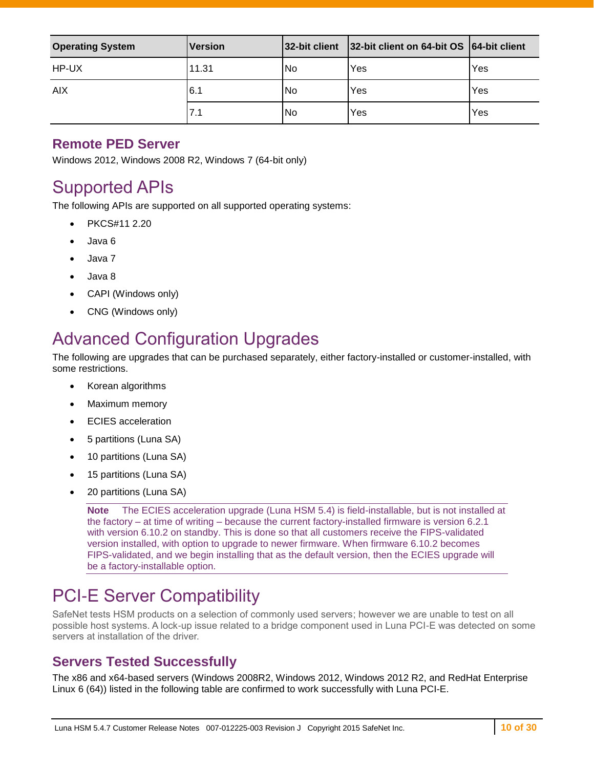| <b>Operating System</b> | <b>Version</b> | 32-bit client | 32-bit client on 64-bit OS 64-bit client |     |
|-------------------------|----------------|---------------|------------------------------------------|-----|
| HP-UX                   | 11.31          | lNo           | Yes                                      | Yes |
| <b>AIX</b>              | 6.1            | No            | Yes                                      | Yes |
|                         | 7.1            | No            | Yes                                      | Yes |

### **Remote PED Server**

Windows 2012, Windows 2008 R2, Windows 7 (64-bit only)

## <span id="page-9-0"></span>Supported APIs

The following APIs are supported on all supported operating systems:

- PKCS#11 2.20
- Java 6
- Java 7
- Java 8
- CAPI (Windows only)
- CNG (Windows only)

## <span id="page-9-1"></span>Advanced Configuration Upgrades

The following are upgrades that can be purchased separately, either factory-installed or customer-installed, with some restrictions.

- Korean algorithms
- Maximum memory
- ECIES acceleration
- 5 partitions (Luna SA)
- 10 partitions (Luna SA)
- 15 partitions (Luna SA)
- 20 partitions (Luna SA)

**Note** The ECIES acceleration upgrade (Luna HSM 5.4) is field-installable, but is not installed at the factory – at time of writing – because the current factory-installed firmware is version 6.2.1 with version 6.10.2 on standby. This is done so that all customers receive the FIPS-validated version installed, with option to upgrade to newer firmware. When firmware 6.10.2 becomes FIPS-validated, and we begin installing that as the default version, then the ECIES upgrade will be a factory-installable option.

## <span id="page-9-2"></span>PCI-E Server Compatibility

SafeNet tests HSM products on a selection of commonly used servers; however we are unable to test on all possible host systems. A lock-up issue related to a bridge component used in Luna PCI-E was detected on some servers at installation of the driver.

### **Servers Tested Successfully**

The x86 and x64-based servers (Windows 2008R2, Windows 2012, Windows 2012 R2, and RedHat Enterprise Linux 6 (64)) listed in the following table are confirmed to work successfully with Luna PCI-E.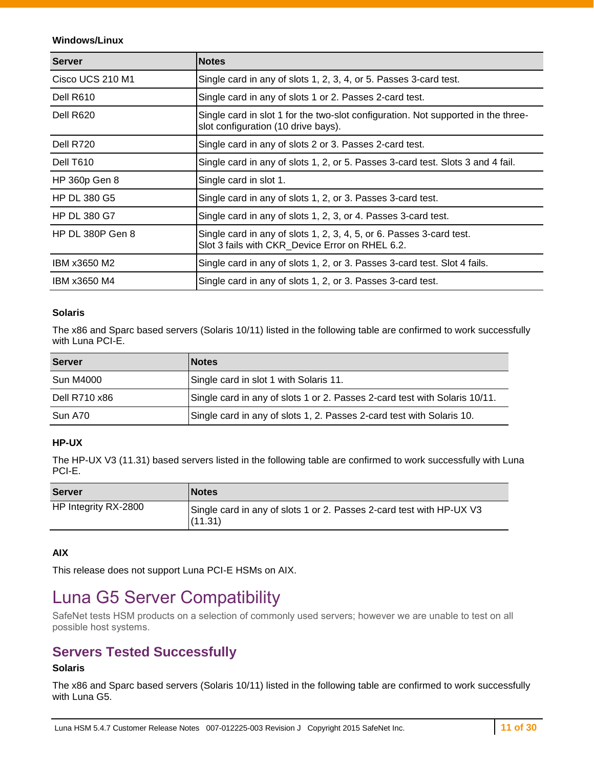#### **Windows/Linux**

| <b>Server</b>           | <b>Notes</b>                                                                                                             |  |  |
|-------------------------|--------------------------------------------------------------------------------------------------------------------------|--|--|
| Cisco UCS 210 M1        | Single card in any of slots 1, 2, 3, 4, or 5. Passes 3-card test.                                                        |  |  |
| Dell R610               | Single card in any of slots 1 or 2. Passes 2-card test.                                                                  |  |  |
| Dell R620               | Single card in slot 1 for the two-slot configuration. Not supported in the three-<br>slot configuration (10 drive bays). |  |  |
| Dell R720               | Single card in any of slots 2 or 3. Passes 2-card test.                                                                  |  |  |
| Dell T610               | Single card in any of slots 1, 2, or 5. Passes 3-card test. Slots 3 and 4 fail.                                          |  |  |
| HP 360p Gen 8           | Single card in slot 1.                                                                                                   |  |  |
| <b>HP DL 380 G5</b>     | Single card in any of slots 1, 2, or 3. Passes 3-card test.                                                              |  |  |
| <b>HP DL 380 G7</b>     | Single card in any of slots 1, 2, 3, or 4. Passes 3-card test.                                                           |  |  |
| <b>HP DL 380P Gen 8</b> | Single card in any of slots 1, 2, 3, 4, 5, or 6. Passes 3-card test.<br>Slot 3 fails with CKR_Device Error on RHEL 6.2.  |  |  |
| IBM x3650 M2            | Single card in any of slots 1, 2, or 3. Passes 3-card test. Slot 4 fails.                                                |  |  |
| IBM x3650 M4            | Single card in any of slots 1, 2, or 3. Passes 3-card test.                                                              |  |  |

#### **Solaris**

The x86 and Sparc based servers (Solaris 10/11) listed in the following table are confirmed to work successfully with Luna PCI-E.

| <b>Server</b>    | <b>Notes</b>                                                               |  |
|------------------|----------------------------------------------------------------------------|--|
| <b>Sun M4000</b> | Single card in slot 1 with Solaris 11.                                     |  |
| Dell R710 x86    | Single card in any of slots 1 or 2. Passes 2-card test with Solaris 10/11. |  |
| Sun A70          | Single card in any of slots 1, 2. Passes 2-card test with Solaris 10.      |  |

#### **HP-UX**

The HP-UX V3 (11.31) based servers listed in the following table are confirmed to work successfully with Luna PCI-E.

| <b>Server</b>        | <b>Notes</b>                                                                    |
|----------------------|---------------------------------------------------------------------------------|
| HP Integrity RX-2800 | Single card in any of slots 1 or 2. Passes 2-card test with HP-UX V3<br>(11.31) |

#### **AIX**

This release does not support Luna PCI-E HSMs on AIX.

## <span id="page-10-0"></span>Luna G5 Server Compatibility

SafeNet tests HSM products on a selection of commonly used servers; however we are unable to test on all possible host systems.

### **Servers Tested Successfully**

#### **Solaris**

The x86 and Sparc based servers (Solaris 10/11) listed in the following table are confirmed to work successfully with Luna G5.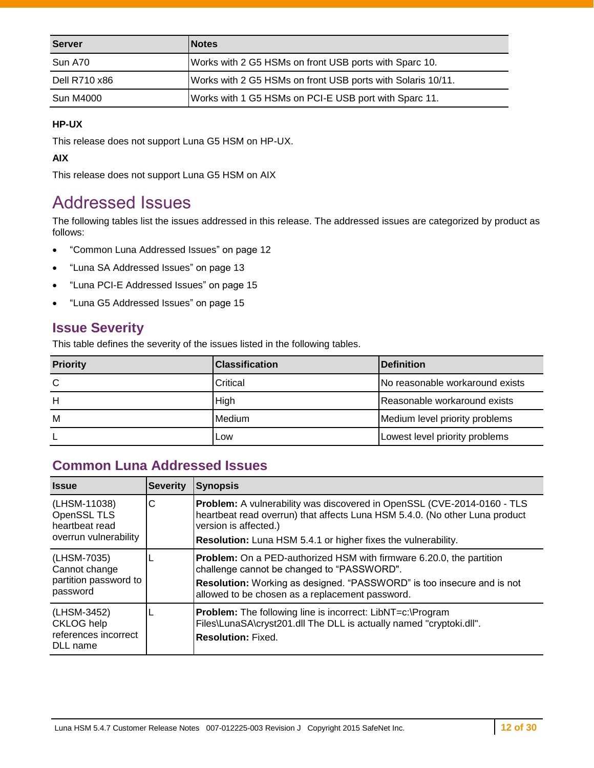| <b>Server</b> | <b>Notes</b>                                                |
|---------------|-------------------------------------------------------------|
| Sun A70       | Works with 2 G5 HSMs on front USB ports with Sparc 10.      |
| Dell R710 x86 | Works with 2 G5 HSMs on front USB ports with Solaris 10/11. |
| Sun M4000     | Works with 1 G5 HSMs on PCI-E USB port with Sparc 11.       |

#### **HP-UX**

This release does not support Luna G5 HSM on HP-UX.

**AIX**

This release does not support Luna G5 HSM on AIX

## <span id="page-11-0"></span>Addressed Issues

The following tables list the issues addressed in this release. The addressed issues are categorized by product as follows:

- ["Common Luna Addressed Issues"](#page-11-1) on page [12](#page-11-1)
- ["Luna SA Addressed Issues"](#page-12-0) on page [13](#page-12-0)
- ["Luna PCI-E Addressed Issues"](#page-14-1) on page [15](#page-14-1)
- ["Luna G5 Addressed Issues"](#page-14-2) on page [15](#page-14-2)

### **Issue Severity**

This table defines the severity of the issues listed in the following tables.

| <b>Priority</b> | <b>Classification</b> | <b>Definition</b>               |
|-----------------|-----------------------|---------------------------------|
| C               | Critical              | No reasonable workaround exists |
| н               | High                  | Reasonable workaround exists    |
| M               | Medium                | Medium level priority problems  |
|                 | Low                   | Lowest level priority problems  |

### <span id="page-11-1"></span>**Common Luna Addressed Issues**

| <b>Issue</b>                                                           | <b>Severity</b> | <b>Synopsis</b>                                                                                                                                                                                                                                         |
|------------------------------------------------------------------------|-----------------|---------------------------------------------------------------------------------------------------------------------------------------------------------------------------------------------------------------------------------------------------------|
| (LHSM-11038)<br>OpenSSL TLS<br>heartheat read<br>overrun vulnerability | С               | Problem: A vulnerability was discovered in OpenSSL (CVE-2014-0160 - TLS<br>heartbeat read overrun) that affects Luna HSM 5.4.0. (No other Luna product<br>version is affected.)<br><b>Resolution:</b> Luna HSM 5.4.1 or higher fixes the vulnerability. |
| (LHSM-7035)<br>Cannot change<br>partition password to<br>password      |                 | <b>Problem:</b> On a PED-authorized HSM with firmware 6.20.0, the partition<br>challenge cannot be changed to "PASSWORD".<br>Resolution: Working as designed. "PASSWORD" is too insecure and is not<br>allowed to be chosen as a replacement password.  |
| (LHSM-3452)<br><b>CKLOG</b> help<br>references incorrect<br>DLL name   |                 | <b>Problem:</b> The following line is incorrect: LibNT=c:\Program<br>Files\LunaSA\cryst201.dll The DLL is actually named "cryptoki.dll".<br><b>Resolution: Fixed.</b>                                                                                   |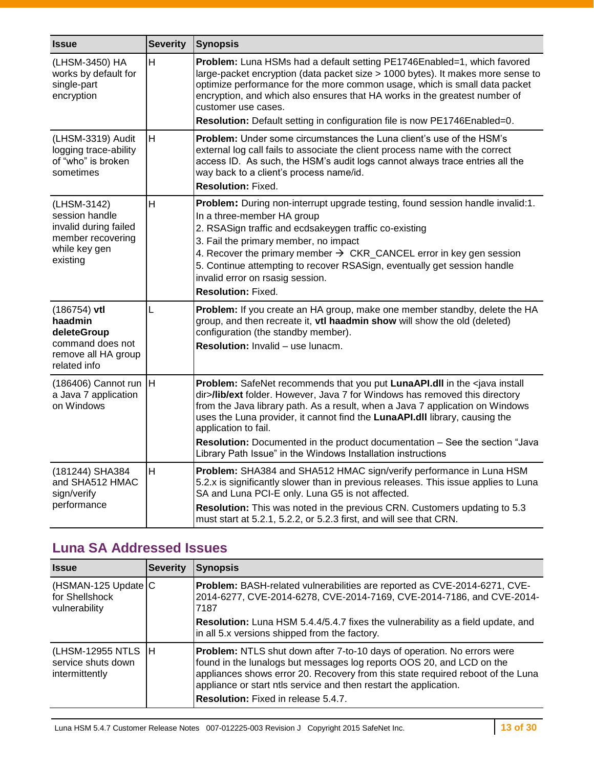| <b>Issue</b>                                                                                             | <b>Severity</b> | <b>Synopsis</b>                                                                                                                                                                                                                                                                                                                                                                                                                                  |
|----------------------------------------------------------------------------------------------------------|-----------------|--------------------------------------------------------------------------------------------------------------------------------------------------------------------------------------------------------------------------------------------------------------------------------------------------------------------------------------------------------------------------------------------------------------------------------------------------|
| (LHSM-3450) HA<br>works by default for<br>single-part<br>encryption                                      | H               | Problem: Luna HSMs had a default setting PE1746Enabled=1, which favored<br>large-packet encryption (data packet size > 1000 bytes). It makes more sense to<br>optimize performance for the more common usage, which is small data packet<br>encryption, and which also ensures that HA works in the greatest number of<br>customer use cases.<br>Resolution: Default setting in configuration file is now PE1746Enabled=0.                       |
| (LHSM-3319) Audit                                                                                        | H               | Problem: Under some circumstances the Luna client's use of the HSM's                                                                                                                                                                                                                                                                                                                                                                             |
| logging trace-ability<br>of "who" is broken<br>sometimes                                                 |                 | external log call fails to associate the client process name with the correct<br>access ID. As such, the HSM's audit logs cannot always trace entries all the<br>way back to a client's process name/id.                                                                                                                                                                                                                                         |
|                                                                                                          |                 | <b>Resolution: Fixed.</b>                                                                                                                                                                                                                                                                                                                                                                                                                        |
| (LHSM-3142)<br>session handle<br>invalid during failed<br>member recovering<br>while key gen<br>existing | H               | Problem: During non-interrupt upgrade testing, found session handle invalid:1.<br>In a three-member HA group<br>2. RSASign traffic and ecdsakeygen traffic co-existing<br>3. Fail the primary member, no impact<br>4. Recover the primary member $\rightarrow$ CKR_CANCEL error in key gen session<br>5. Continue attempting to recover RSASign, eventually get session handle<br>invalid error on rsasig session.<br><b>Resolution: Fixed.</b>  |
| $(186754)$ vtl<br>haadmin<br>deleteGroup<br>command does not<br>remove all HA group<br>related info      | L               | Problem: If you create an HA group, make one member standby, delete the HA<br>group, and then recreate it, vtl haadmin show will show the old (deleted)<br>configuration (the standby member).<br><b>Resolution:</b> Invalid - use lunacm.                                                                                                                                                                                                       |
| (186406) Cannot run<br>a Java 7 application<br>on Windows                                                | H               | Problem: SafeNet recommends that you put LunaAPI.dll in the <java install<br="">dir&gt;/lib/ext folder. However, Java 7 for Windows has removed this directory<br/>from the Java library path. As a result, when a Java 7 application on Windows<br/>uses the Luna provider, it cannot find the LunaAPI.dll library, causing the<br/>application to fail.<br/>Resolution: Documented in the product documentation - See the section "Java</java> |
|                                                                                                          |                 | Library Path Issue" in the Windows Installation instructions                                                                                                                                                                                                                                                                                                                                                                                     |
| (181244) SHA384<br>and SHA512 HMAC<br>sign/verify<br>performance                                         | H               | Problem: SHA384 and SHA512 HMAC sign/verify performance in Luna HSM<br>5.2.x is significantly slower than in previous releases. This issue applies to Luna<br>SA and Luna PCI-E only. Luna G5 is not affected.                                                                                                                                                                                                                                   |
|                                                                                                          |                 | Resolution: This was noted in the previous CRN. Customers updating to 5.3<br>must start at 5.2.1, 5.2.2, or 5.2.3 first, and will see that CRN.                                                                                                                                                                                                                                                                                                  |

## <span id="page-12-0"></span>**Luna SA Addressed Issues**

| <b>Issue</b>                                             | <b>Severity</b> | <b>Synopsis</b>                                                                                                                                                                                                                                                                                                                                               |  |
|----------------------------------------------------------|-----------------|---------------------------------------------------------------------------------------------------------------------------------------------------------------------------------------------------------------------------------------------------------------------------------------------------------------------------------------------------------------|--|
| (HSMAN-125 Update C<br>for Shellshock<br>vulnerability   |                 | Problem: BASH-related vulnerabilities are reported as CVE-2014-6271, CVE-<br>2014-6277, CVE-2014-6278, CVE-2014-7169, CVE-2014-7186, and CVE-2014-<br>7187                                                                                                                                                                                                    |  |
|                                                          |                 | <b>Resolution:</b> Luna HSM 5.4.4/5.4.7 fixes the vulnerability as a field update, and<br>in all 5.x versions shipped from the factory.                                                                                                                                                                                                                       |  |
| (LHSM-12955 NTLS<br>service shuts down<br>intermittently | IН              | <b>Problem:</b> NTLS shut down after 7-to-10 days of operation. No errors were<br>found in the lunalogs but messages log reports OOS 20, and LCD on the<br>appliances shows error 20. Recovery from this state required reboot of the Luna<br>appliance or start ntls service and then restart the application.<br><b>Resolution:</b> Fixed in release 5.4.7. |  |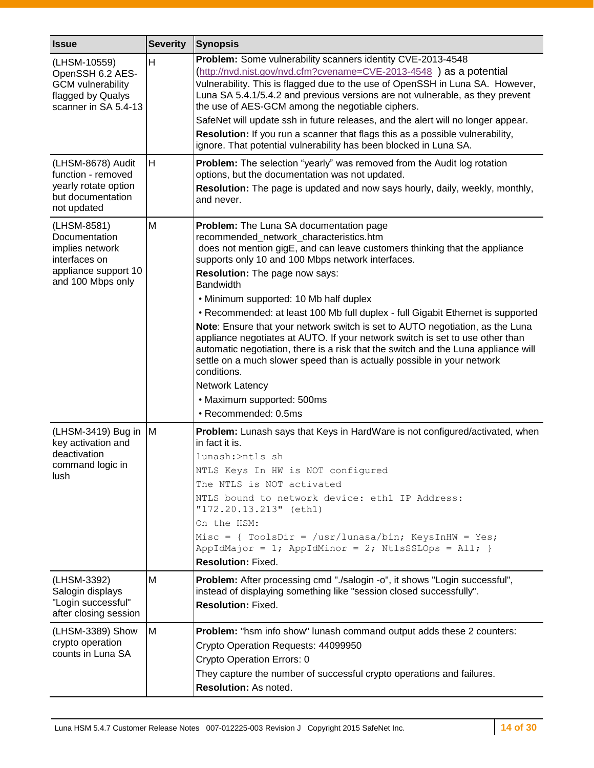| <b>Issue</b>                                                                                                  | <b>Severity</b> | <b>Synopsis</b>                                                                                                                                                                                                                                                                                                                                                                                                                                                                                                                                                                                                                                                                                                                                                                                                                            |  |  |
|---------------------------------------------------------------------------------------------------------------|-----------------|--------------------------------------------------------------------------------------------------------------------------------------------------------------------------------------------------------------------------------------------------------------------------------------------------------------------------------------------------------------------------------------------------------------------------------------------------------------------------------------------------------------------------------------------------------------------------------------------------------------------------------------------------------------------------------------------------------------------------------------------------------------------------------------------------------------------------------------------|--|--|
| (LHSM-10559)<br>OpenSSH 6.2 AES-<br><b>GCM</b> vulnerability<br>flagged by Qualys<br>scanner in SA 5.4-13     | H               | Problem: Some vulnerability scanners identity CVE-2013-4548<br>(http://nvd.nist.gov/nvd.cfm?cvename=CVE-2013-4548) as a potential<br>vulnerability. This is flagged due to the use of OpenSSH in Luna SA. However,<br>Luna SA 5.4.1/5.4.2 and previous versions are not vulnerable, as they prevent<br>the use of AES-GCM among the negotiable ciphers.<br>SafeNet will update ssh in future releases, and the alert will no longer appear.<br>Resolution: If you run a scanner that flags this as a possible vulnerability,<br>ignore. That potential vulnerability has been blocked in Luna SA.                                                                                                                                                                                                                                          |  |  |
| (LHSM-8678) Audit<br>function - removed<br>yearly rotate option<br>but documentation<br>not updated           | H               | <b>Problem:</b> The selection "yearly" was removed from the Audit log rotation<br>options, but the documentation was not updated.<br>Resolution: The page is updated and now says hourly, daily, weekly, monthly,<br>and never.                                                                                                                                                                                                                                                                                                                                                                                                                                                                                                                                                                                                            |  |  |
| (LHSM-8581)<br>Documentation<br>implies network<br>interfaces on<br>appliance support 10<br>and 100 Mbps only | M               | <b>Problem:</b> The Luna SA documentation page<br>recommended network characteristics.htm<br>does not mention gigE, and can leave customers thinking that the appliance<br>supports only 10 and 100 Mbps network interfaces.<br>Resolution: The page now says:<br><b>Bandwidth</b><br>. Minimum supported: 10 Mb half duplex<br>• Recommended: at least 100 Mb full duplex - full Gigabit Ethernet is supported<br>Note: Ensure that your network switch is set to AUTO negotiation, as the Luna<br>appliance negotiates at AUTO. If your network switch is set to use other than<br>automatic negotiation, there is a risk that the switch and the Luna appliance will<br>settle on a much slower speed than is actually possible in your network<br>conditions.<br>Network Latency<br>• Maximum supported: 500ms<br>· Recommended: 0.5ms |  |  |
| (LHSM-3419) Bug in<br>key activation and<br>deactivation<br>command logic in<br>lush                          | M               | Problem: Lunash says that Keys in HardWare is not configured/activated, when<br>in fact it is.<br>lunash:>ntls sh<br>NTLS Keys In HW is NOT configured<br>The NTLS is NOT activated<br>NTLS bound to network device: ethl IP Address:<br>"172.20.13.213" (eth1)<br>On the HSM:<br>Misc = { ToolsDir = $/usr/lunasa/bin$ ; KeysInHW = Yes;<br>AppIdMajor = 1; AppIdMinor = 2; NtlsSSLOps = All; }<br><b>Resolution: Fixed.</b>                                                                                                                                                                                                                                                                                                                                                                                                              |  |  |
| (LHSM-3392)<br>Salogin displays<br>"Login successful"<br>after closing session                                | м               | Problem: After processing cmd "./salogin -o", it shows "Login successful",<br>instead of displaying something like "session closed successfully".<br><b>Resolution: Fixed.</b>                                                                                                                                                                                                                                                                                                                                                                                                                                                                                                                                                                                                                                                             |  |  |
| (LHSM-3389) Show<br>crypto operation<br>counts in Luna SA                                                     | м               | Problem: "hsm info show" lunash command output adds these 2 counters:<br>Crypto Operation Requests: 44099950<br>Crypto Operation Errors: 0<br>They capture the number of successful crypto operations and failures.<br>Resolution: As noted.                                                                                                                                                                                                                                                                                                                                                                                                                                                                                                                                                                                               |  |  |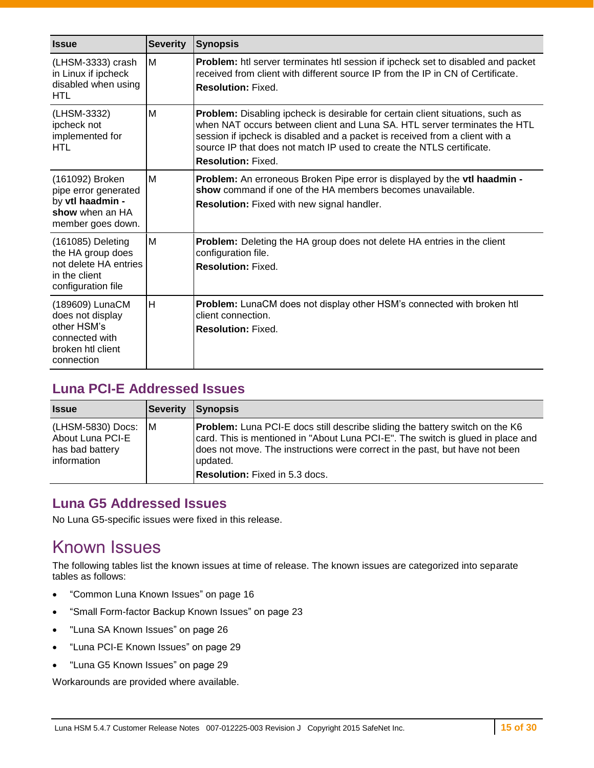| <b>Issue</b>                                                                                            | <b>Severity</b> | <b>Synopsis</b>                                                                                                                                                                                                                                                                                                                                          |  |
|---------------------------------------------------------------------------------------------------------|-----------------|----------------------------------------------------------------------------------------------------------------------------------------------------------------------------------------------------------------------------------------------------------------------------------------------------------------------------------------------------------|--|
| (LHSM-3333) crash<br>in Linux if ipcheck<br>disabled when using<br><b>HTL</b>                           | M               | <b>Problem:</b> htl server terminates htl session if ipcheck set to disabled and packet<br>received from client with different source IP from the IP in CN of Certificate.<br><b>Resolution: Fixed.</b>                                                                                                                                                  |  |
| (LHSM-3332)<br>ipcheck not<br>implemented for<br>HTL                                                    | M               | <b>Problem:</b> Disabling ipcheck is desirable for certain client situations, such as<br>when NAT occurs between client and Luna SA. HTL server terminates the HTL<br>session if ipcheck is disabled and a packet is received from a client with a<br>source IP that does not match IP used to create the NTLS certificate.<br><b>Resolution: Fixed.</b> |  |
| (161092) Broken<br>pipe error generated<br>by vtl haadmin -<br>show when an HA<br>member goes down.     | M               | Problem: An erroneous Broken Pipe error is displayed by the vtl haadmin -<br>show command if one of the HA members becomes unavailable.<br><b>Resolution:</b> Fixed with new signal handler.                                                                                                                                                             |  |
| (161085) Deleting<br>the HA group does<br>not delete HA entries<br>in the client<br>configuration file  | M               | Problem: Deleting the HA group does not delete HA entries in the client<br>configuration file.<br><b>Resolution: Fixed.</b>                                                                                                                                                                                                                              |  |
| (189609) LunaCM<br>does not display<br>other HSM's<br>connected with<br>broken htl client<br>connection | H               | <b>Problem:</b> LunaCM does not display other HSM's connected with broken htl<br>client connection.<br><b>Resolution: Fixed.</b>                                                                                                                                                                                                                         |  |

### <span id="page-14-1"></span>**Luna PCI-E Addressed Issues**

| <b>Issue</b>                                                              | <b>Severity</b> | Synopsis                                                                                                                                                                                                                                                          |
|---------------------------------------------------------------------------|-----------------|-------------------------------------------------------------------------------------------------------------------------------------------------------------------------------------------------------------------------------------------------------------------|
| (LHSM-5830) Docs: M<br>About Luna PCI-E<br>has bad battery<br>information |                 | <b>Problem:</b> Luna PCI-E docs still describe sliding the battery switch on the K6<br>card. This is mentioned in "About Luna PCI-E". The switch is glued in place and<br>does not move. The instructions were correct in the past, but have not been<br>updated. |
|                                                                           |                 | <b>Resolution:</b> Fixed in 5.3 docs.                                                                                                                                                                                                                             |

### <span id="page-14-2"></span>**Luna G5 Addressed Issues**

No Luna G5-specific issues were fixed in this release.

## <span id="page-14-0"></span>Known Issues

The following tables list the known issues at time of release. The known issues are categorized into separate tables as follows:

- ["Common Luna Known Issues"](#page-15-0) on page [16](#page-15-0)
- ["Small Form-factor Backup Known Issues"](#page-22-0) on page [23](#page-22-0)
- "Luna [SA Known Issues"](#page-25-0) on page [26](#page-25-0)
- ["Luna PCI-E Known Issues"](#page-28-0) on page [29](#page-27-0)
- ["Luna G5 Known Issues"](#page-28-1) on page [29](#page-28-1)

Workarounds are provided where available.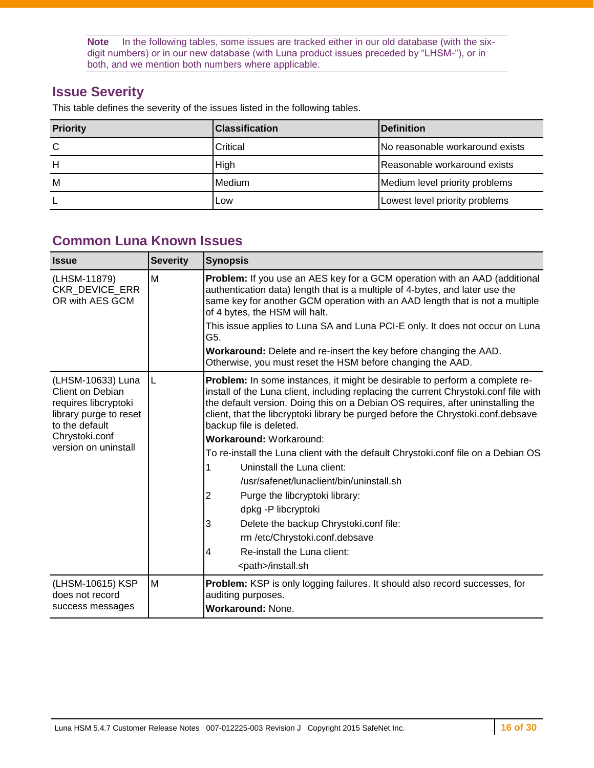**Note** In the following tables, some issues are tracked either in our old database (with the sixdigit numbers) or in our new database (with Luna product issues preceded by "LHSM-"), or in both, and we mention both numbers where applicable.

### **Issue Severity**

This table defines the severity of the issues listed in the following tables.

| <b>Priority</b> | <b>IClassification</b> | <b>IDefinition</b>              |
|-----------------|------------------------|---------------------------------|
| C               | Critical               | No reasonable workaround exists |
| Н               | High                   | Reasonable workaround exists    |
| M               | Medium                 | Medium level priority problems  |
|                 | Low                    | Lowest level priority problems  |

### <span id="page-15-0"></span>**Common Luna Known Issues**

| <b>Issue</b>                                                                                                                                        | <b>Severity</b> | <b>Synopsis</b>                                                                                                                                                                                                                                                                                                                                                                                                                                                                                                                                                                                                                                                                                                                                                                              |
|-----------------------------------------------------------------------------------------------------------------------------------------------------|-----------------|----------------------------------------------------------------------------------------------------------------------------------------------------------------------------------------------------------------------------------------------------------------------------------------------------------------------------------------------------------------------------------------------------------------------------------------------------------------------------------------------------------------------------------------------------------------------------------------------------------------------------------------------------------------------------------------------------------------------------------------------------------------------------------------------|
| (LHSM-11879)<br>CKR_DEVICE_ERR<br>OR with AES GCM                                                                                                   | M               | <b>Problem:</b> If you use an AES key for a GCM operation with an AAD (additional<br>authentication data) length that is a multiple of 4-bytes, and later use the<br>same key for another GCM operation with an AAD length that is not a multiple<br>of 4 bytes, the HSM will halt.<br>This issue applies to Luna SA and Luna PCI-E only. It does not occur on Luna<br>G5.<br>Workaround: Delete and re-insert the key before changing the AAD.<br>Otherwise, you must reset the HSM before changing the AAD.                                                                                                                                                                                                                                                                                |
| (LHSM-10633) Luna<br>Client on Debian<br>requires libcryptoki<br>library purge to reset<br>to the default<br>Chrystoki.conf<br>version on uninstall | IL              | <b>Problem:</b> In some instances, it might be desirable to perform a complete re-<br>install of the Luna client, including replacing the current Chrystoki.conf file with<br>the default version. Doing this on a Debian OS requires, after uninstalling the<br>client, that the libcryptoki library be purged before the Chrystoki.conf.debsave<br>backup file is deleted.<br><b>Workaround: Workaround:</b><br>To re-install the Luna client with the default Chrystoki.conf file on a Debian OS<br>Uninstall the Luna client:<br>/usr/safenet/lunaclient/bin/uninstall.sh<br>2<br>Purge the libcryptoki library:<br>dpkg -P libcryptoki<br>3<br>Delete the backup Chrystoki.conf file:<br>rm /etc/Chrystoki.conf.debsave<br>Re-install the Luna client:<br>4<br><path>/install.sh</path> |
| (LHSM-10615) KSP<br>does not record<br>success messages                                                                                             | M               | <b>Problem:</b> KSP is only logging failures. It should also record successes, for<br>auditing purposes.<br><b>Workaround: None.</b>                                                                                                                                                                                                                                                                                                                                                                                                                                                                                                                                                                                                                                                         |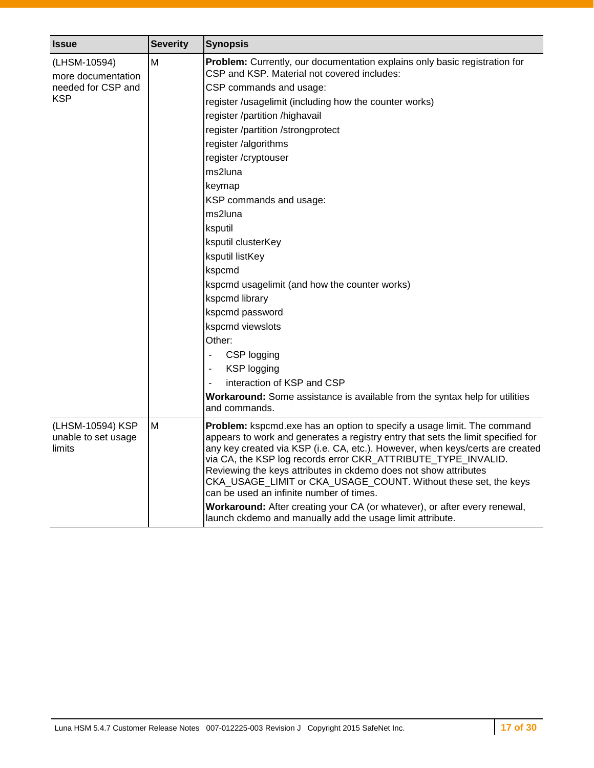| <b>Issue</b>                                                    | <b>Severity</b> | <b>Synopsis</b>                                                                                                                                                                                                                                                                                                                                                                                                                                                                                                                                                                                                                                                                                                                                                                                                                  |
|-----------------------------------------------------------------|-----------------|----------------------------------------------------------------------------------------------------------------------------------------------------------------------------------------------------------------------------------------------------------------------------------------------------------------------------------------------------------------------------------------------------------------------------------------------------------------------------------------------------------------------------------------------------------------------------------------------------------------------------------------------------------------------------------------------------------------------------------------------------------------------------------------------------------------------------------|
| (LHSM-10594)<br>more documentation<br>needed for CSP and<br>KSP | M               | Problem: Currently, our documentation explains only basic registration for<br>CSP and KSP. Material not covered includes:<br>CSP commands and usage:<br>register /usagelimit (including how the counter works)<br>register /partition /highavail<br>register /partition /strongprotect<br>register /algorithms<br>register /cryptouser<br>ms2luna<br>keymap<br>KSP commands and usage:<br>ms2luna<br>ksputil<br>ksputil clusterKey<br>ksputil listKey<br>kspcmd<br>kspcmd usagelimit (and how the counter works)<br>kspcmd library<br>kspcmd password<br>kspcmd viewslots<br>Other:<br>CSP logging<br>$\overline{\phantom{a}}$<br><b>KSP</b> logging<br>$\overline{\phantom{a}}$<br>interaction of KSP and CSP<br>$\blacksquare$<br>Workaround: Some assistance is available from the syntax help for utilities<br>and commands. |
| (LHSM-10594) KSP<br>unable to set usage<br>limits               | M               | Problem: kspcmd.exe has an option to specify a usage limit. The command<br>appears to work and generates a registry entry that sets the limit specified for<br>any key created via KSP (i.e. CA, etc.). However, when keys/certs are created<br>via CA, the KSP log records error CKR_ATTRIBUTE_TYPE_INVALID.<br>Reviewing the keys attributes in ckdemo does not show attributes<br>CKA_USAGE_LIMIT or CKA_USAGE_COUNT. Without these set, the keys<br>can be used an infinite number of times.<br>Workaround: After creating your CA (or whatever), or after every renewal,<br>launch ckdemo and manually add the usage limit attribute.                                                                                                                                                                                       |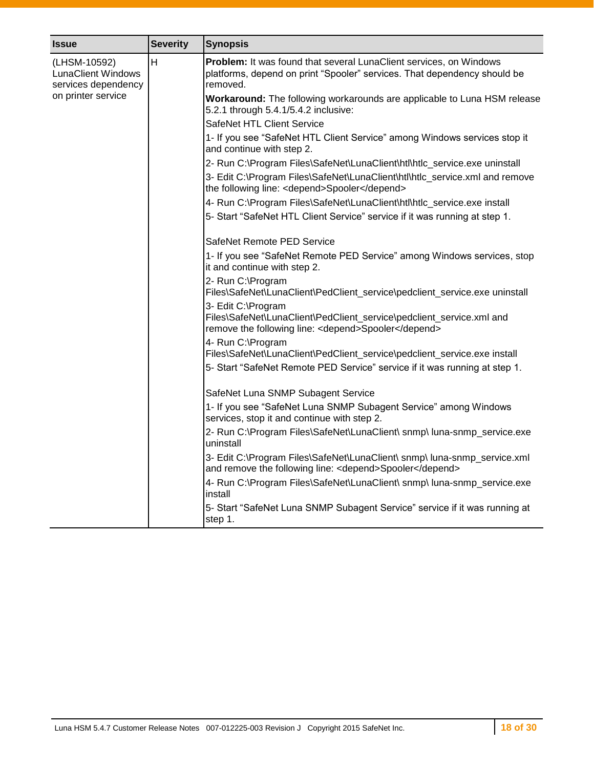| <b>Issue</b>                                                     | <b>Severity</b> | <b>Synopsis</b>                                                                                                                                            |
|------------------------------------------------------------------|-----------------|------------------------------------------------------------------------------------------------------------------------------------------------------------|
| (LHSM-10592)<br><b>LunaClient Windows</b><br>services dependency | H               | Problem: It was found that several LunaClient services, on Windows<br>platforms, depend on print "Spooler" services. That dependency should be<br>removed. |
| on printer service                                               |                 | Workaround: The following workarounds are applicable to Luna HSM release<br>5.2.1 through 5.4.1/5.4.2 inclusive:                                           |
|                                                                  |                 | SafeNet HTL Client Service                                                                                                                                 |
|                                                                  |                 | 1- If you see "SafeNet HTL Client Service" among Windows services stop it<br>and continue with step 2.                                                     |
|                                                                  |                 | 2- Run C:\Program Files\SafeNet\LunaClient\htl\htlc_service.exe uninstall                                                                                  |
|                                                                  |                 | 3- Edit C:\Program Files\SafeNet\LunaClient\htl\htlc_service.xml and remove<br>the following line: <depend>Spooler</depend>                                |
|                                                                  |                 | 4- Run C:\Program Files\SafeNet\LunaClient\htl\htlc_service.exe install                                                                                    |
|                                                                  |                 | 5- Start "SafeNet HTL Client Service" service if it was running at step 1.                                                                                 |
|                                                                  |                 | SafeNet Remote PED Service                                                                                                                                 |
|                                                                  |                 | 1- If you see "SafeNet Remote PED Service" among Windows services, stop<br>it and continue with step 2.                                                    |
|                                                                  |                 | 2- Run C:\Program<br>Files\SafeNet\LunaClient\PedClient_service\pedclient_service.exe uninstall                                                            |
|                                                                  |                 | 3- Edit C:\Program<br>Files\SafeNet\LunaClient\PedClient_service\pedclient_service.xml and<br>remove the following line: < depend>Spooler                  |
|                                                                  |                 | 4- Run C:\Program<br>Files\SafeNet\LunaClient\PedClient_service\pedclient_service.exe install                                                              |
|                                                                  |                 | 5- Start "SafeNet Remote PED Service" service if it was running at step 1.                                                                                 |
|                                                                  |                 | SafeNet Luna SNMP Subagent Service                                                                                                                         |
|                                                                  |                 | 1- If you see "SafeNet Luna SNMP Subagent Service" among Windows<br>services, stop it and continue with step 2.                                            |
|                                                                  |                 | 2- Run C:\Program Files\SafeNet\LunaClient\ snmp\ luna-snmp_service.exe<br>uninstall                                                                       |
|                                                                  |                 | 3- Edit C:\Program Files\SafeNet\LunaClient\ snmp\ luna-snmp_service.xml<br>and remove the following line: < depend>Spooler                                |
|                                                                  |                 | 4- Run C:\Program Files\SafeNet\LunaClient\ snmp\ luna-snmp_service.exe<br>install                                                                         |
|                                                                  |                 | 5- Start "SafeNet Luna SNMP Subagent Service" service if it was running at<br>step 1.                                                                      |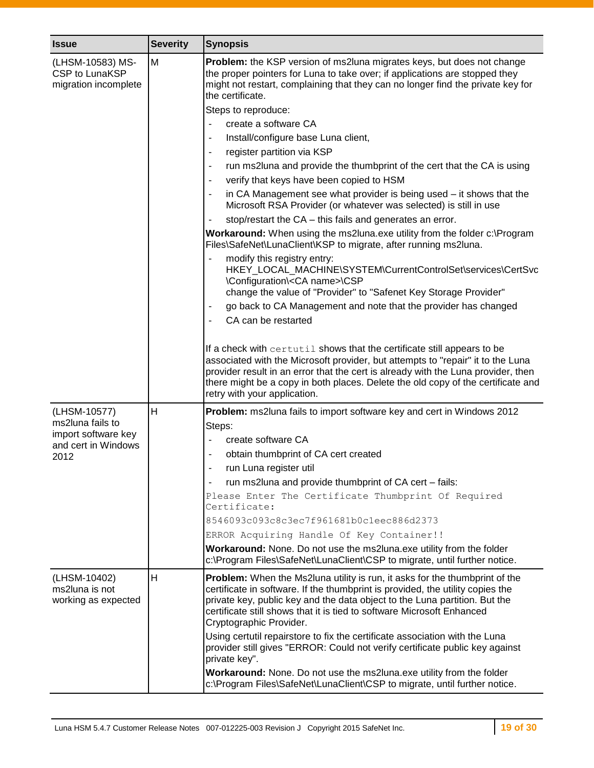| <b>Issue</b>                                                                           | <b>Severity</b> | <b>Synopsis</b>                                                                                                                                                                                                                                                                                                                                                                                                                                                                                                                                                                                                                                                                                                                                                                                                                                                                                                                                                                                                                                                                                                                                                                                                                                                                                                                                                                                                                                                                                                                                                                                                                                                                                                                                                |
|----------------------------------------------------------------------------------------|-----------------|----------------------------------------------------------------------------------------------------------------------------------------------------------------------------------------------------------------------------------------------------------------------------------------------------------------------------------------------------------------------------------------------------------------------------------------------------------------------------------------------------------------------------------------------------------------------------------------------------------------------------------------------------------------------------------------------------------------------------------------------------------------------------------------------------------------------------------------------------------------------------------------------------------------------------------------------------------------------------------------------------------------------------------------------------------------------------------------------------------------------------------------------------------------------------------------------------------------------------------------------------------------------------------------------------------------------------------------------------------------------------------------------------------------------------------------------------------------------------------------------------------------------------------------------------------------------------------------------------------------------------------------------------------------------------------------------------------------------------------------------------------------|
| (LHSM-10583) MS-<br>CSP to LunaKSP<br>migration incomplete                             | M               | Problem: the KSP version of ms2luna migrates keys, but does not change<br>the proper pointers for Luna to take over; if applications are stopped they<br>might not restart, complaining that they can no longer find the private key for<br>the certificate.<br>Steps to reproduce:<br>create a software CA<br>$\blacksquare$<br>Install/configure base Luna client,<br>$\overline{\phantom{a}}$<br>register partition via KSP<br>$\blacksquare$<br>run ms2luna and provide the thumbprint of the cert that the CA is using<br>٠<br>verify that keys have been copied to HSM<br>٠<br>in CA Management see what provider is being used – it shows that the<br>$\overline{\phantom{a}}$<br>Microsoft RSA Provider (or whatever was selected) is still in use<br>stop/restart the CA - this fails and generates an error.<br>$\blacksquare$<br>Workaround: When using the ms2luna.exe utility from the folder c:\Program<br>Files\SafeNet\LunaClient\KSP to migrate, after running ms2luna.<br>modify this registry entry:<br>$\blacksquare$<br>HKEY_LOCAL_MACHINE\SYSTEM\CurrentControlSet\services\CertSvc<br>\Configuration\ <ca name="">\CSP<br/>change the value of "Provider" to "Safenet Key Storage Provider"<br/>go back to CA Management and note that the provider has changed<br/>٠<br/>CA can be restarted<br/><math display="inline">\overline{\phantom{a}}</math><br/>If a check with certutil shows that the certificate still appears to be<br/>associated with the Microsoft provider, but attempts to "repair" it to the Luna<br/>provider result in an error that the cert is already with the Luna provider, then<br/>there might be a copy in both places. Delete the old copy of the certificate and<br/>retry with your application.</ca> |
| (LHSM-10577)<br>ms2luna fails to<br>import software key<br>and cert in Windows<br>2012 | H               | Problem: ms2luna fails to import software key and cert in Windows 2012<br>Steps:<br>create software CA<br>obtain thumbprint of CA cert created<br>$\qquad \qquad \blacksquare$<br>run Luna register util<br>run ms2luna and provide thumbprint of CA cert - fails:<br>Please Enter The Certificate Thumbprint Of Required<br>Certificate:<br>8546093c093c8c3ec7f961681b0c1eec886d2373<br>ERROR Acquiring Handle Of Key Container!!<br>Workaround: None. Do not use the ms2luna.exe utility from the folder                                                                                                                                                                                                                                                                                                                                                                                                                                                                                                                                                                                                                                                                                                                                                                                                                                                                                                                                                                                                                                                                                                                                                                                                                                                     |
| (LHSM-10402)<br>ms2luna is not<br>working as expected                                  | H               | c:\Program Files\SafeNet\LunaClient\CSP to migrate, until further notice.<br>Problem: When the Ms2luna utility is run, it asks for the thumbprint of the<br>certificate in software. If the thumbprint is provided, the utility copies the<br>private key, public key and the data object to the Luna partition. But the<br>certificate still shows that it is tied to software Microsoft Enhanced<br>Cryptographic Provider.<br>Using certutil repairstore to fix the certificate association with the Luna<br>provider still gives "ERROR: Could not verify certificate public key against<br>private key".<br>Workaround: None. Do not use the ms2luna.exe utility from the folder<br>c:\Program Files\SafeNet\LunaClient\CSP to migrate, until further notice.                                                                                                                                                                                                                                                                                                                                                                                                                                                                                                                                                                                                                                                                                                                                                                                                                                                                                                                                                                                             |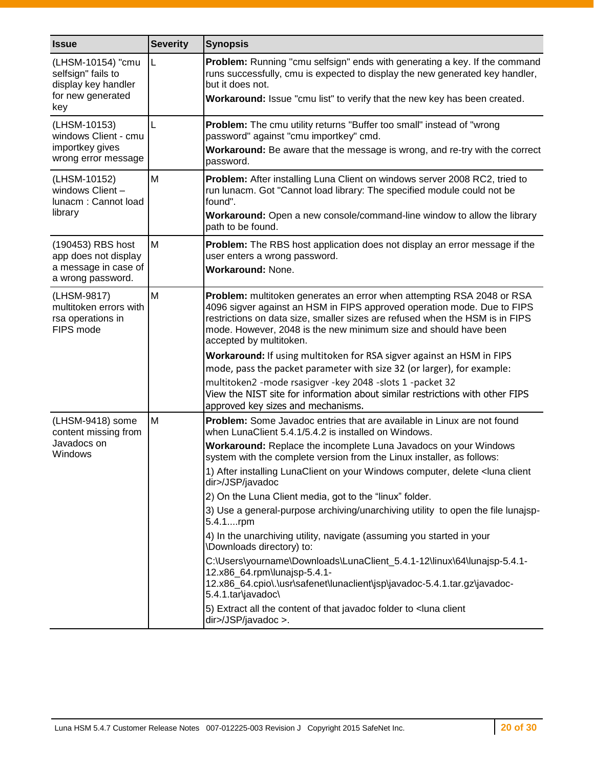| <b>Issue</b>                                                                               | <b>Severity</b> | <b>Synopsis</b>                                                                                                                                                                                                                                                                                                                                                                                                                                                                                                                                                                                                                                                                                                                                                                                                                                                                                                                                                                                     |
|--------------------------------------------------------------------------------------------|-----------------|-----------------------------------------------------------------------------------------------------------------------------------------------------------------------------------------------------------------------------------------------------------------------------------------------------------------------------------------------------------------------------------------------------------------------------------------------------------------------------------------------------------------------------------------------------------------------------------------------------------------------------------------------------------------------------------------------------------------------------------------------------------------------------------------------------------------------------------------------------------------------------------------------------------------------------------------------------------------------------------------------------|
| (LHSM-10154) "cmu<br>selfsign" fails to<br>display key handler<br>for new generated<br>key | L               | Problem: Running "cmu selfsign" ends with generating a key. If the command<br>runs successfully, cmu is expected to display the new generated key handler,<br>but it does not.<br>Workaround: Issue "cmu list" to verify that the new key has been created.                                                                                                                                                                                                                                                                                                                                                                                                                                                                                                                                                                                                                                                                                                                                         |
| (LHSM-10153)<br>windows Client - cmu<br>importkey gives<br>wrong error message             | L               | Problem: The cmu utility returns "Buffer too small" instead of "wrong<br>password" against "cmu importkey" cmd.<br>Workaround: Be aware that the message is wrong, and re-try with the correct<br>password.                                                                                                                                                                                                                                                                                                                                                                                                                                                                                                                                                                                                                                                                                                                                                                                         |
| (LHSM-10152)<br>windows Client -<br>lunacm: Cannot load<br>library                         | M               | Problem: After installing Luna Client on windows server 2008 RC2, tried to<br>run lunacm. Got "Cannot load library: The specified module could not be<br>found".<br>Workaround: Open a new console/command-line window to allow the library<br>path to be found.                                                                                                                                                                                                                                                                                                                                                                                                                                                                                                                                                                                                                                                                                                                                    |
| (190453) RBS host<br>app does not display<br>a message in case of<br>a wrong password.     | M               | Problem: The RBS host application does not display an error message if the<br>user enters a wrong password.<br>Workaround: None.                                                                                                                                                                                                                                                                                                                                                                                                                                                                                                                                                                                                                                                                                                                                                                                                                                                                    |
| (LHSM-9817)<br>multitoken errors with<br>rsa operations in<br>FIPS mode                    | M               | Problem: multitoken generates an error when attempting RSA 2048 or RSA<br>4096 sigver against an HSM in FIPS approved operation mode. Due to FIPS<br>restrictions on data size, smaller sizes are refused when the HSM is in FIPS<br>mode. However, 2048 is the new minimum size and should have been<br>accepted by multitoken.                                                                                                                                                                                                                                                                                                                                                                                                                                                                                                                                                                                                                                                                    |
|                                                                                            |                 | Workaround: If using multitoken for RSA sigver against an HSM in FIPS<br>mode, pass the packet parameter with size 32 (or larger), for example:<br>multitoken2 -mode rsasigver -key 2048 -slots 1 -packet 32<br>View the NIST site for information about similar restrictions with other FIPS<br>approved key sizes and mechanisms.                                                                                                                                                                                                                                                                                                                                                                                                                                                                                                                                                                                                                                                                 |
| (LHSM-9418) some<br>content missing from<br>Javadocs on<br>Windows                         | M               | Problem: Some Javadoc entries that are available in Linux are not found<br>when LunaClient 5.4.1/5.4.2 is installed on Windows.<br>Workaround: Replace the incomplete Luna Javadocs on your Windows<br>system with the complete version from the Linux installer, as follows:<br>1) After installing LunaClient on your Windows computer, delete <luna client<br="">dir&gt;/JSP/javadoc<br/>2) On the Luna Client media, got to the "linux" folder.<br/>3) Use a general-purpose archiving/unarchiving utility to open the file lunajsp-<br/>5.4.1rpm<br/>4) In the unarchiving utility, navigate (assuming you started in your<br/>\Downloads directory) to:<br/>C:\Users\yourname\Downloads\LunaClient_5.4.1-12\linux\64\lunajsp-5.4.1-<br/>12.x86 64.rpm\lunajsp-5.4.1-<br/>12.x86_64.cpio\.\usr\safenet\lunaclient\jsp\javadoc-5.4.1.tar.gz\javadoc-<br/>5.4.1.tar\javadoc\<br/>5) Extract all the content of that javadoc folder to <luna client<br="">dir&gt;/JSP/javadoc &gt;.</luna></luna> |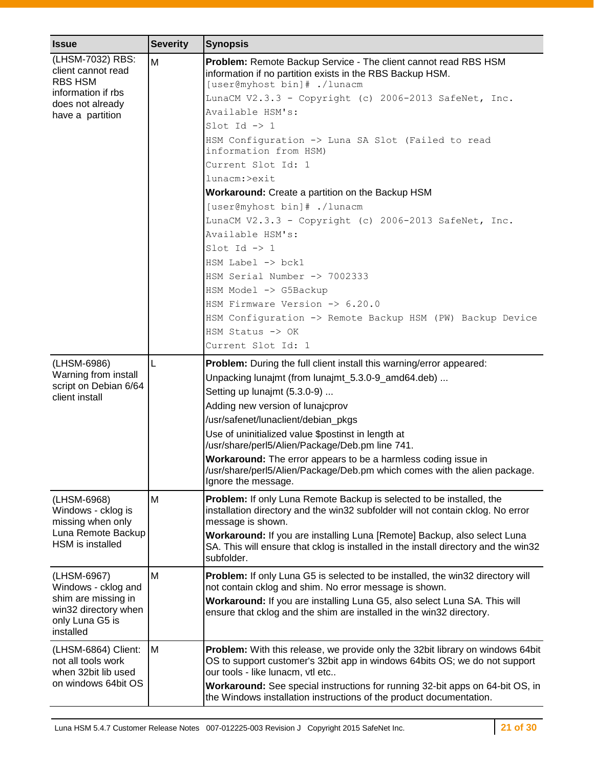| <b>Issue</b>                                                                                                      | <b>Severity</b> | <b>Synopsis</b>                                                                                                                                                                                  |
|-------------------------------------------------------------------------------------------------------------------|-----------------|--------------------------------------------------------------------------------------------------------------------------------------------------------------------------------------------------|
| (LHSM-7032) RBS:<br>client cannot read<br><b>RBS HSM</b>                                                          | M               | Problem: Remote Backup Service - The client cannot read RBS HSM<br>information if no partition exists in the RBS Backup HSM.<br>[user@myhost bin]# ./lunacm                                      |
| information if rbs<br>does not already                                                                            |                 | LunaCM V2.3.3 - Copyright (c) 2006-2013 SafeNet, Inc.                                                                                                                                            |
| have a partition                                                                                                  |                 | Available HSM's:                                                                                                                                                                                 |
|                                                                                                                   |                 | Slot Id $\rightarrow$ 1                                                                                                                                                                          |
|                                                                                                                   |                 | HSM Configuration -> Luna SA Slot (Failed to read<br>information from HSM)                                                                                                                       |
|                                                                                                                   |                 | Current Slot Id: 1                                                                                                                                                                               |
|                                                                                                                   |                 | lunacm:>exit                                                                                                                                                                                     |
|                                                                                                                   |                 | Workaround: Create a partition on the Backup HSM                                                                                                                                                 |
|                                                                                                                   |                 | [user@myhost bin]# ./lunacm                                                                                                                                                                      |
|                                                                                                                   |                 | LunaCM V2.3.3 - Copyright (c) 2006-2013 SafeNet, Inc.                                                                                                                                            |
|                                                                                                                   |                 | Available HSM's:                                                                                                                                                                                 |
|                                                                                                                   |                 | Slot Id $\rightarrow$ 1                                                                                                                                                                          |
|                                                                                                                   |                 | $HSM$ Label $\rightarrow$ bck1                                                                                                                                                                   |
|                                                                                                                   |                 | HSM Serial Number -> 7002333                                                                                                                                                                     |
|                                                                                                                   |                 | HSM Model -> G5Backup                                                                                                                                                                            |
|                                                                                                                   |                 | HSM Firmware Version -> 6.20.0                                                                                                                                                                   |
|                                                                                                                   |                 | HSM Configuration -> Remote Backup HSM (PW) Backup Device                                                                                                                                        |
|                                                                                                                   |                 | HSM Status $\rightarrow$ OK                                                                                                                                                                      |
|                                                                                                                   |                 | Current Slot Id: 1                                                                                                                                                                               |
| (LHSM-6986)                                                                                                       | L               | Problem: During the full client install this warning/error appeared:                                                                                                                             |
| Warning from install<br>script on Debian 6/64<br>client install                                                   |                 | Unpacking lunajmt (from lunajmt_5.3.0-9_amd64.deb)                                                                                                                                               |
|                                                                                                                   |                 | Setting up lunajmt (5.3.0-9)                                                                                                                                                                     |
|                                                                                                                   |                 | Adding new version of lunajcprov                                                                                                                                                                 |
|                                                                                                                   |                 | /usr/safenet/lunaclient/debian_pkgs                                                                                                                                                              |
|                                                                                                                   |                 | Use of uninitialized value \$postinst in length at<br>/usr/share/perl5/Alien/Package/Deb.pm line 741.                                                                                            |
|                                                                                                                   |                 | Workaround: The error appears to be a harmless coding issue in<br>/usr/share/perl5/Alien/Package/Deb.pm which comes with the alien package.<br>Ignore the message.                               |
| (LHSM-6968)<br>Windows - cklog is<br>missing when only<br>Luna Remote Backup<br>HSM is installed                  | M               | Problem: If only Luna Remote Backup is selected to be installed, the<br>installation directory and the win32 subfolder will not contain cklog. No error<br>message is shown.                     |
|                                                                                                                   |                 | Workaround: If you are installing Luna [Remote] Backup, also select Luna<br>SA. This will ensure that cklog is installed in the install directory and the win32<br>subfolder.                    |
| (LHSM-6967)<br>Windows - cklog and<br>shim are missing in<br>win32 directory when<br>only Luna G5 is<br>installed | M               | Problem: If only Luna G5 is selected to be installed, the win32 directory will<br>not contain cklog and shim. No error message is shown.                                                         |
|                                                                                                                   |                 | Workaround: If you are installing Luna G5, also select Luna SA. This will<br>ensure that cklog and the shim are installed in the win32 directory.                                                |
| (LHSM-6864) Client:<br>not all tools work<br>when 32bit lib used                                                  | M               | Problem: With this release, we provide only the 32bit library on windows 64bit<br>OS to support customer's 32bit app in windows 64bits OS; we do not support<br>our tools - like lunacm, vtl etc |
| on windows 64bit OS                                                                                               |                 | Workaround: See special instructions for running 32-bit apps on 64-bit OS, in<br>the Windows installation instructions of the product documentation.                                             |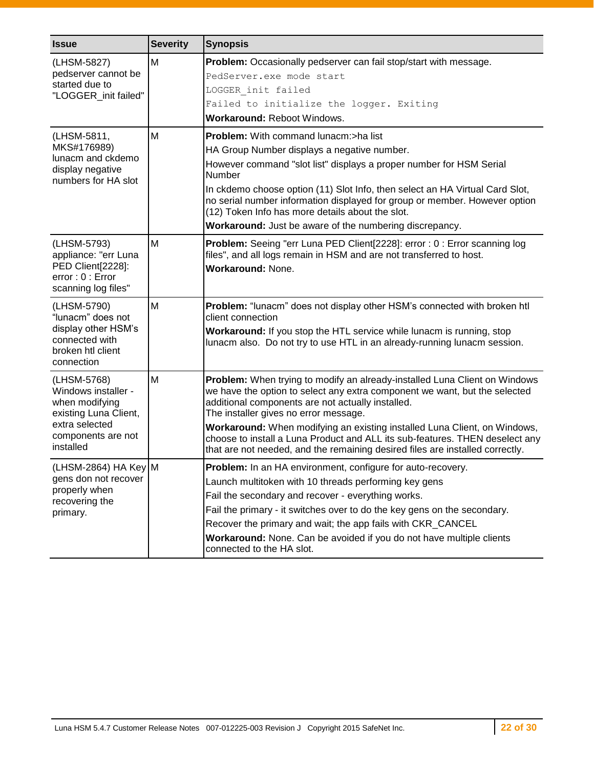| <b>Issue</b>                                                                                                                       | <b>Severity</b> | <b>Synopsis</b>                                                                                                                                                                                                                                                                                                                                                                                                                                                                                      |
|------------------------------------------------------------------------------------------------------------------------------------|-----------------|------------------------------------------------------------------------------------------------------------------------------------------------------------------------------------------------------------------------------------------------------------------------------------------------------------------------------------------------------------------------------------------------------------------------------------------------------------------------------------------------------|
| (LHSM-5827)<br>pedserver cannot be<br>started due to<br>"LOGGER_init failed"                                                       | M               | <b>Problem:</b> Occasionally pedserver can fail stop/start with message.<br>PedServer.exe mode start<br>LOGGER init failed<br>Failed to initialize the logger. Exiting<br>Workaround: Reboot Windows.                                                                                                                                                                                                                                                                                                |
| (LHSM-5811,<br>MKS#176989)<br>lunacm and ckdemo<br>display negative<br>numbers for HA slot                                         | M               | Problem: With command lunacm:>ha list<br>HA Group Number displays a negative number.<br>However command "slot list" displays a proper number for HSM Serial<br>Number<br>In ckdemo choose option (11) Slot Info, then select an HA Virtual Card Slot,<br>no serial number information displayed for group or member. However option<br>(12) Token Info has more details about the slot.<br>Workaround: Just be aware of the numbering discrepancy.                                                   |
| (LHSM-5793)<br>appliance: "err Luna<br>PED Client[2228]:<br>error: 0: Error<br>scanning log files"                                 | M               | Problem: Seeing "err Luna PED Client[2228]: error : 0 : Error scanning log<br>files", and all logs remain in HSM and are not transferred to host.<br><b>Workaround: None.</b>                                                                                                                                                                                                                                                                                                                        |
| (LHSM-5790)<br>"lunacm" does not<br>display other HSM's<br>connected with<br>broken htl client<br>connection                       | M               | Problem: "lunacm" does not display other HSM's connected with broken htl<br>client connection<br>Workaround: If you stop the HTL service while lunacm is running, stop<br>lunacm also. Do not try to use HTL in an already-running lunacm session.                                                                                                                                                                                                                                                   |
| (LHSM-5768)<br>Windows installer -<br>when modifying<br>existing Luna Client,<br>extra selected<br>components are not<br>installed | M               | Problem: When trying to modify an already-installed Luna Client on Windows<br>we have the option to select any extra component we want, but the selected<br>additional components are not actually installed.<br>The installer gives no error message.<br>Workaround: When modifying an existing installed Luna Client, on Windows,<br>choose to install a Luna Product and ALL its sub-features. THEN deselect any<br>that are not needed, and the remaining desired files are installed correctly. |
| (LHSM-2864) HA Key M<br>gens don not recover<br>properly when<br>recovering the<br>primary.                                        |                 | Problem: In an HA environment, configure for auto-recovery.<br>Launch multitoken with 10 threads performing key gens<br>Fail the secondary and recover - everything works.<br>Fail the primary - it switches over to do the key gens on the secondary.<br>Recover the primary and wait; the app fails with CKR_CANCEL<br>Workaround: None. Can be avoided if you do not have multiple clients<br>connected to the HA slot.                                                                           |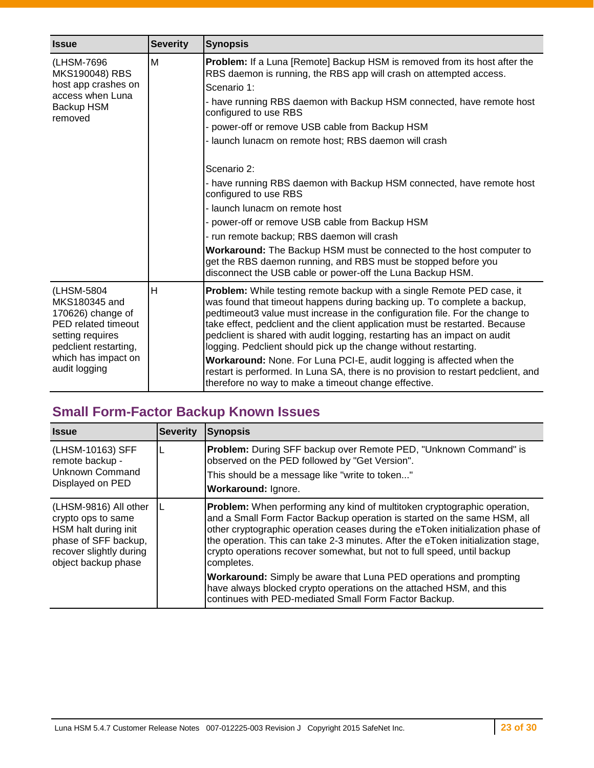| <b>Issue</b>                                                                                                                                                 | <b>Severity</b>                                                                                                                                                                                                                                                                                                                                                                                                                                                                                                                                                                                                                                                                                                        | <b>Synopsis</b>                                                                                                                                                                                                                                                                                                                                                                                                                                                                                                                                                                                                                                                                                |
|--------------------------------------------------------------------------------------------------------------------------------------------------------------|------------------------------------------------------------------------------------------------------------------------------------------------------------------------------------------------------------------------------------------------------------------------------------------------------------------------------------------------------------------------------------------------------------------------------------------------------------------------------------------------------------------------------------------------------------------------------------------------------------------------------------------------------------------------------------------------------------------------|------------------------------------------------------------------------------------------------------------------------------------------------------------------------------------------------------------------------------------------------------------------------------------------------------------------------------------------------------------------------------------------------------------------------------------------------------------------------------------------------------------------------------------------------------------------------------------------------------------------------------------------------------------------------------------------------|
| M<br>(LHSM-7696)<br>MKS190048) RBS<br>host app crashes on<br>access when Luna<br>Backup HSM<br>removed                                                       | <b>Problem:</b> If a Luna [Remote] Backup HSM is removed from its host after the<br>RBS daemon is running, the RBS app will crash on attempted access.<br>Scenario 1:<br>- have running RBS daemon with Backup HSM connected, have remote host<br>configured to use RBS<br>- power-off or remove USB cable from Backup HSM<br>- launch lunacm on remote host; RBS daemon will crash<br>Scenario 2:<br>- have running RBS daemon with Backup HSM connected, have remote host<br>configured to use RBS<br>- launch lunacm on remote host<br>- power-off or remove USB cable from Backup HSM<br>- run remote backup; RBS daemon will crash<br><b>Workaround:</b> The Backup HSM must be connected to the host computer to |                                                                                                                                                                                                                                                                                                                                                                                                                                                                                                                                                                                                                                                                                                |
|                                                                                                                                                              |                                                                                                                                                                                                                                                                                                                                                                                                                                                                                                                                                                                                                                                                                                                        | get the RBS daemon running, and RBS must be stopped before you<br>disconnect the USB cable or power-off the Luna Backup HSM.                                                                                                                                                                                                                                                                                                                                                                                                                                                                                                                                                                   |
| (LHSM-5804<br>MKS180345 and<br>170626) change of<br>PED related timeout<br>setting requires<br>pedclient restarting,<br>which has impact on<br>audit logging | H                                                                                                                                                                                                                                                                                                                                                                                                                                                                                                                                                                                                                                                                                                                      | <b>Problem:</b> While testing remote backup with a single Remote PED case, it<br>was found that timeout happens during backing up. To complete a backup,<br>pedtimeout3 value must increase in the configuration file. For the change to<br>take effect, pedclient and the client application must be restarted. Because<br>pedclient is shared with audit logging, restarting has an impact on audit<br>logging. Pedclient should pick up the change without restarting.<br>Workaround: None. For Luna PCI-E, audit logging is affected when the<br>restart is performed. In Luna SA, there is no provision to restart pedclient, and<br>therefore no way to make a timeout change effective. |

## <span id="page-22-0"></span>**Small Form-Factor Backup Known Issues**

| <b>Issue</b>                                                                                                                                  | <b>Severity</b> | <b>Synopsis</b>                                                                                                                                                                                                                                                                                                                                                                                                            |
|-----------------------------------------------------------------------------------------------------------------------------------------------|-----------------|----------------------------------------------------------------------------------------------------------------------------------------------------------------------------------------------------------------------------------------------------------------------------------------------------------------------------------------------------------------------------------------------------------------------------|
| (LHSM-10163) SFF<br>remote backup -<br>Unknown Command<br>Displayed on PED                                                                    |                 | Problem: During SFF backup over Remote PED, "Unknown Command" is<br>observed on the PED followed by "Get Version".<br>This should be a message like "write to token"<br>Workaround: Ignore.                                                                                                                                                                                                                                |
| (LHSM-9816) All other<br>crypto ops to same<br>HSM halt during init<br>phase of SFF backup,<br>recover slightly during<br>object backup phase |                 | <b>Problem:</b> When performing any kind of multitoken cryptographic operation,<br>and a Small Form Factor Backup operation is started on the same HSM, all<br>other cryptographic operation ceases during the eToken initialization phase of<br>the operation. This can take 2-3 minutes. After the eToken initialization stage,<br>crypto operations recover somewhat, but not to full speed, until backup<br>completes. |
|                                                                                                                                               |                 | <b>Workaround:</b> Simply be aware that Luna PED operations and prompting<br>have always blocked crypto operations on the attached HSM, and this<br>continues with PED-mediated Small Form Factor Backup.                                                                                                                                                                                                                  |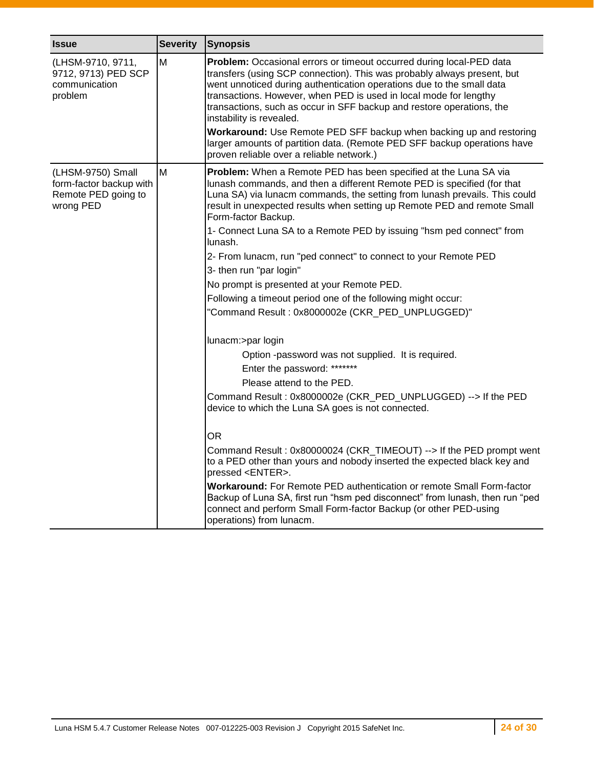| <b>Issue</b>                                                                     | <b>Severity</b> | Synopsis                                                                                                                                                                                                                                                                                                                                                                                                                                                                                                                                                                                           |
|----------------------------------------------------------------------------------|-----------------|----------------------------------------------------------------------------------------------------------------------------------------------------------------------------------------------------------------------------------------------------------------------------------------------------------------------------------------------------------------------------------------------------------------------------------------------------------------------------------------------------------------------------------------------------------------------------------------------------|
| (LHSM-9710, 9711,<br>9712, 9713) PED SCP<br>communication<br>problem             | Μ               | Problem: Occasional errors or timeout occurred during local-PED data<br>transfers (using SCP connection). This was probably always present, but<br>went unnoticed during authentication operations due to the small data<br>transactions. However, when PED is used in local mode for lengthy<br>transactions, such as occur in SFF backup and restore operations, the<br>instability is revealed.<br>Workaround: Use Remote PED SFF backup when backing up and restoring<br>larger amounts of partition data. (Remote PED SFF backup operations have<br>proven reliable over a reliable network.) |
| (LHSM-9750) Small<br>form-factor backup with<br>Remote PED going to<br>wrong PED | M               | Problem: When a Remote PED has been specified at the Luna SA via<br>lunash commands, and then a different Remote PED is specified (for that<br>Luna SA) via lunacm commands, the setting from lunash prevails. This could<br>result in unexpected results when setting up Remote PED and remote Small<br>Form-factor Backup.                                                                                                                                                                                                                                                                       |
|                                                                                  |                 | 1- Connect Luna SA to a Remote PED by issuing "hsm ped connect" from<br>lunash.                                                                                                                                                                                                                                                                                                                                                                                                                                                                                                                    |
|                                                                                  |                 | 2- From lunacm, run "ped connect" to connect to your Remote PED                                                                                                                                                                                                                                                                                                                                                                                                                                                                                                                                    |
|                                                                                  |                 | 3- then run "par login"                                                                                                                                                                                                                                                                                                                                                                                                                                                                                                                                                                            |
|                                                                                  |                 | No prompt is presented at your Remote PED.                                                                                                                                                                                                                                                                                                                                                                                                                                                                                                                                                         |
|                                                                                  |                 | Following a timeout period one of the following might occur:                                                                                                                                                                                                                                                                                                                                                                                                                                                                                                                                       |
|                                                                                  |                 | "Command Result: 0x8000002e (CKR_PED_UNPLUGGED)"                                                                                                                                                                                                                                                                                                                                                                                                                                                                                                                                                   |
|                                                                                  |                 | lunacm:>par login                                                                                                                                                                                                                                                                                                                                                                                                                                                                                                                                                                                  |
|                                                                                  |                 | Option -password was not supplied. It is required.                                                                                                                                                                                                                                                                                                                                                                                                                                                                                                                                                 |
|                                                                                  |                 | Enter the password: *******                                                                                                                                                                                                                                                                                                                                                                                                                                                                                                                                                                        |
|                                                                                  |                 | Please attend to the PED.                                                                                                                                                                                                                                                                                                                                                                                                                                                                                                                                                                          |
|                                                                                  |                 | Command Result: 0x8000002e (CKR_PED_UNPLUGGED) --> If the PED<br>device to which the Luna SA goes is not connected.                                                                                                                                                                                                                                                                                                                                                                                                                                                                                |
|                                                                                  |                 | <b>OR</b>                                                                                                                                                                                                                                                                                                                                                                                                                                                                                                                                                                                          |
|                                                                                  |                 | Command Result: 0x80000024 (CKR_TIMEOUT) --> If the PED prompt went<br>to a PED other than yours and nobody inserted the expected black key and<br>pressed <enter>.</enter>                                                                                                                                                                                                                                                                                                                                                                                                                        |
|                                                                                  |                 | Workaround: For Remote PED authentication or remote Small Form-factor<br>Backup of Luna SA, first run "hsm ped disconnect" from lunash, then run "ped<br>connect and perform Small Form-factor Backup (or other PED-using<br>operations) from lunacm.                                                                                                                                                                                                                                                                                                                                              |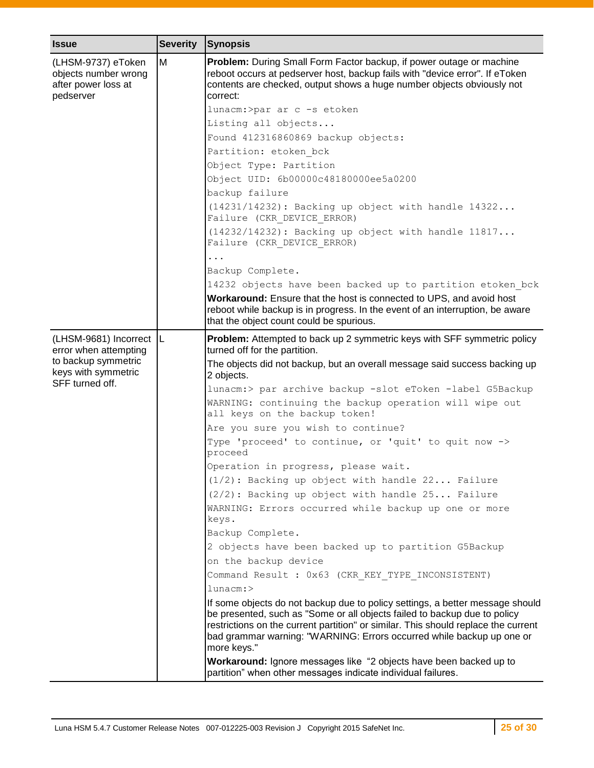| <b>Issue</b>                                                                   | <b>Severity</b> | <b>Synopsis</b>                                                                                                                                                                                                                                                                                                                          |
|--------------------------------------------------------------------------------|-----------------|------------------------------------------------------------------------------------------------------------------------------------------------------------------------------------------------------------------------------------------------------------------------------------------------------------------------------------------|
| (LHSM-9737) eToken<br>objects number wrong<br>after power loss at<br>pedserver | M               | Problem: During Small Form Factor backup, if power outage or machine<br>reboot occurs at pedserver host, backup fails with "device error". If eToken<br>contents are checked, output shows a huge number objects obviously not<br>correct:                                                                                               |
|                                                                                |                 | lunacm:>par ar c -s etoken                                                                                                                                                                                                                                                                                                               |
|                                                                                |                 | Listing all objects                                                                                                                                                                                                                                                                                                                      |
|                                                                                |                 | Found 412316860869 backup objects:                                                                                                                                                                                                                                                                                                       |
|                                                                                |                 | Partition: etoken bck<br>Object Type: Partition                                                                                                                                                                                                                                                                                          |
|                                                                                |                 | Object UID: 6b00000c48180000ee5a0200                                                                                                                                                                                                                                                                                                     |
|                                                                                |                 | backup failure                                                                                                                                                                                                                                                                                                                           |
|                                                                                |                 | (14231/14232): Backing up object with handle 14322<br>Failure (CKR DEVICE ERROR)                                                                                                                                                                                                                                                         |
|                                                                                |                 | (14232/14232): Backing up object with handle 11817<br>Failure (CKR DEVICE ERROR)                                                                                                                                                                                                                                                         |
|                                                                                |                 | $\ddots$                                                                                                                                                                                                                                                                                                                                 |
|                                                                                |                 | Backup Complete.                                                                                                                                                                                                                                                                                                                         |
|                                                                                |                 | 14232 objects have been backed up to partition etoken bck                                                                                                                                                                                                                                                                                |
|                                                                                |                 | Workaround: Ensure that the host is connected to UPS, and avoid host<br>reboot while backup is in progress. In the event of an interruption, be aware<br>that the object count could be spurious.                                                                                                                                        |
| (LHSM-9681) Incorrect  L<br>error when attempting                              |                 | Problem: Attempted to back up 2 symmetric keys with SFF symmetric policy<br>turned off for the partition.                                                                                                                                                                                                                                |
| to backup symmetric<br>keys with symmetric<br>SFF turned off.                  |                 | The objects did not backup, but an overall message said success backing up<br>2 objects.                                                                                                                                                                                                                                                 |
|                                                                                |                 | lunacm:> par archive backup -slot eToken -label G5Backup                                                                                                                                                                                                                                                                                 |
|                                                                                |                 | WARNING: continuing the backup operation will wipe out<br>all keys on the backup token!                                                                                                                                                                                                                                                  |
|                                                                                |                 | Are you sure you wish to continue?                                                                                                                                                                                                                                                                                                       |
|                                                                                |                 | Type 'proceed' to continue, or 'quit' to quit now -><br>proceed                                                                                                                                                                                                                                                                          |
|                                                                                |                 | Operation in progress, please wait.                                                                                                                                                                                                                                                                                                      |
|                                                                                |                 | (1/2): Backing up object with handle 22 Failure                                                                                                                                                                                                                                                                                          |
|                                                                                |                 | (2/2): Backing up object with handle 25 Failure                                                                                                                                                                                                                                                                                          |
|                                                                                |                 | WARNING: Errors occurred while backup up one or more<br>keys.                                                                                                                                                                                                                                                                            |
|                                                                                |                 | Backup Complete.                                                                                                                                                                                                                                                                                                                         |
|                                                                                |                 | 2 objects have been backed up to partition G5Backup                                                                                                                                                                                                                                                                                      |
|                                                                                |                 | on the backup device                                                                                                                                                                                                                                                                                                                     |
|                                                                                |                 | Command Result : 0x63 (CKR KEY TYPE INCONSISTENT)                                                                                                                                                                                                                                                                                        |
|                                                                                |                 | $l$ unacm: $>$                                                                                                                                                                                                                                                                                                                           |
|                                                                                |                 | If some objects do not backup due to policy settings, a better message should<br>be presented, such as "Some or all objects failed to backup due to policy<br>restrictions on the current partition" or similar. This should replace the current<br>bad grammar warning: "WARNING: Errors occurred while backup up one or<br>more keys." |
|                                                                                |                 | Workaround: Ignore messages like "2 objects have been backed up to<br>partition" when other messages indicate individual failures.                                                                                                                                                                                                       |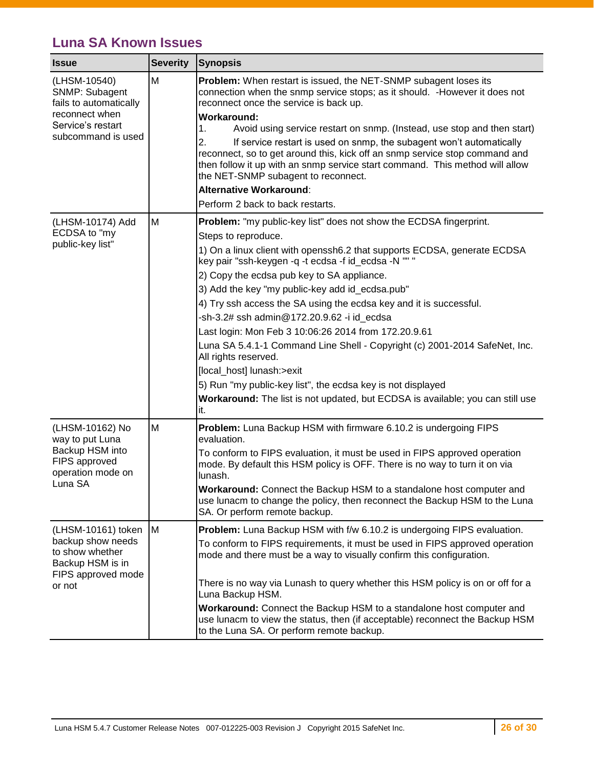## <span id="page-25-0"></span>**Luna SA Known Issues**

| <b>Issue</b>                                                                                                          | <b>Severity</b> | <b>Synopsis</b>                                                                                                                                                                                                                                                                                         |
|-----------------------------------------------------------------------------------------------------------------------|-----------------|---------------------------------------------------------------------------------------------------------------------------------------------------------------------------------------------------------------------------------------------------------------------------------------------------------|
| (LHSM-10540)<br>SNMP: Subagent<br>fails to automatically<br>reconnect when<br>Service's restart<br>subcommand is used | M               | <b>Problem:</b> When restart is issued, the NET-SNMP subagent loses its<br>connection when the snmp service stops; as it should. - However it does not<br>reconnect once the service is back up.<br><b>Workaround:</b><br>1.<br>Avoid using service restart on snmp. (Instead, use stop and then start) |
|                                                                                                                       |                 | 2.<br>If service restart is used on snmp, the subagent won't automatically<br>reconnect, so to get around this, kick off an snmp service stop command and<br>then follow it up with an snmp service start command. This method will allow<br>the NET-SNMP subagent to reconnect.                        |
|                                                                                                                       |                 | <b>Alternative Workaround:</b>                                                                                                                                                                                                                                                                          |
|                                                                                                                       |                 | Perform 2 back to back restarts.                                                                                                                                                                                                                                                                        |
| (LHSM-10174) Add<br>ECDSA to "my                                                                                      | M               | Problem: "my public-key list" does not show the ECDSA fingerprint.                                                                                                                                                                                                                                      |
| public-key list"                                                                                                      |                 | Steps to reproduce.                                                                                                                                                                                                                                                                                     |
|                                                                                                                       |                 | 1) On a linux client with openssh6.2 that supports ECDSA, generate ECDSA<br>key pair "ssh-keygen -q -t ecdsa -f id_ecdsa -N "" "                                                                                                                                                                        |
|                                                                                                                       |                 | 2) Copy the ecdsa pub key to SA appliance.                                                                                                                                                                                                                                                              |
|                                                                                                                       |                 | 3) Add the key "my public-key add id_ecdsa.pub"                                                                                                                                                                                                                                                         |
|                                                                                                                       |                 | 4) Try ssh access the SA using the ecdsa key and it is successful.                                                                                                                                                                                                                                      |
|                                                                                                                       |                 | -sh-3.2# ssh admin@172.20.9.62 -i id ecdsa                                                                                                                                                                                                                                                              |
|                                                                                                                       |                 | Last login: Mon Feb 3 10:06:26 2014 from 172.20.9.61                                                                                                                                                                                                                                                    |
|                                                                                                                       |                 | Luna SA 5.4.1-1 Command Line Shell - Copyright (c) 2001-2014 SafeNet, Inc.<br>All rights reserved.                                                                                                                                                                                                      |
|                                                                                                                       |                 | [local_host] lunash:>exit                                                                                                                                                                                                                                                                               |
|                                                                                                                       |                 | 5) Run "my public-key list", the ecdsa key is not displayed                                                                                                                                                                                                                                             |
|                                                                                                                       |                 | Workaround: The list is not updated, but ECDSA is available; you can still use<br>it.                                                                                                                                                                                                                   |
| (LHSM-10162) No<br>way to put Luna<br>Backup HSM into<br>FIPS approved<br>operation mode on<br>Luna SA                | M               | Problem: Luna Backup HSM with firmware 6.10.2 is undergoing FIPS<br>evaluation.                                                                                                                                                                                                                         |
|                                                                                                                       |                 | To conform to FIPS evaluation, it must be used in FIPS approved operation<br>mode. By default this HSM policy is OFF. There is no way to turn it on via<br>lunash.                                                                                                                                      |
|                                                                                                                       |                 | Workaround: Connect the Backup HSM to a standalone host computer and<br>use lunacm to change the policy, then reconnect the Backup HSM to the Luna<br>SA. Or perform remote backup.                                                                                                                     |
| (LHSM-10161) token                                                                                                    | M               | Problem: Luna Backup HSM with f/w 6.10.2 is undergoing FIPS evaluation.                                                                                                                                                                                                                                 |
| backup show needs<br>to show whether<br>Backup HSM is in<br>FIPS approved mode<br>or not                              |                 | To conform to FIPS requirements, it must be used in FIPS approved operation<br>mode and there must be a way to visually confirm this configuration.                                                                                                                                                     |
|                                                                                                                       |                 | There is no way via Lunash to query whether this HSM policy is on or off for a<br>Luna Backup HSM.                                                                                                                                                                                                      |
|                                                                                                                       |                 | Workaround: Connect the Backup HSM to a standalone host computer and<br>use lunacm to view the status, then (if acceptable) reconnect the Backup HSM<br>to the Luna SA. Or perform remote backup.                                                                                                       |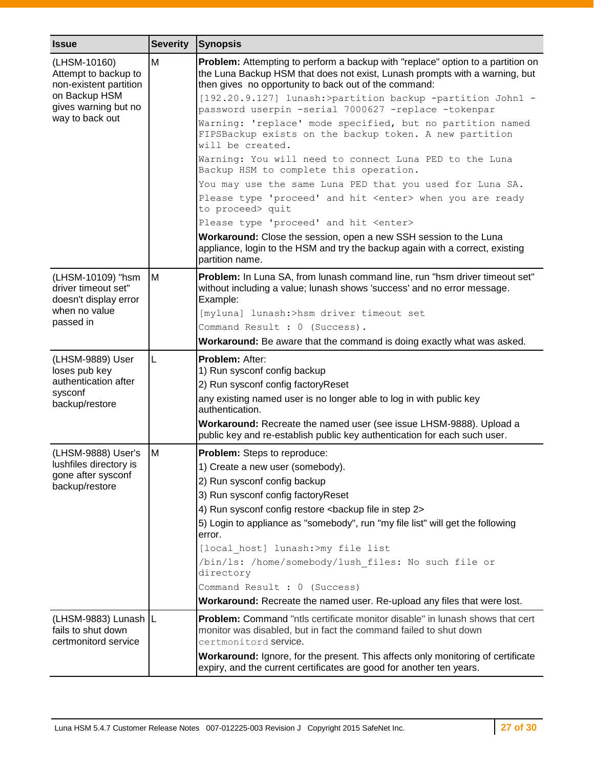| <b>Issue</b>                                                       | <b>Severity</b> | <b>Synopsis</b>                                                                                                                                                                                                         |  |
|--------------------------------------------------------------------|-----------------|-------------------------------------------------------------------------------------------------------------------------------------------------------------------------------------------------------------------------|--|
| (LHSM-10160)<br>Attempt to backup to<br>non-existent partition     | M               | Problem: Attempting to perform a backup with "replace" option to a partition on<br>the Luna Backup HSM that does not exist, Lunash prompts with a warning, but<br>then gives no opportunity to back out of the command: |  |
| on Backup HSM<br>gives warning but no<br>way to back out           |                 | [192.20.9.127] lunash:>partition backup -partition John1 -<br>password userpin -serial 7000627 -replace -tokenpar                                                                                                       |  |
|                                                                    |                 | Warning: 'replace' mode specified, but no partition named<br>FIPSBackup exists on the backup token. A new partition<br>will be created.                                                                                 |  |
|                                                                    |                 | Warning: You will need to connect Luna PED to the Luna<br>Backup HSM to complete this operation.                                                                                                                        |  |
|                                                                    |                 | You may use the same Luna PED that you used for Luna SA.                                                                                                                                                                |  |
|                                                                    |                 | Please type 'proceed' and hit <enter> when you are ready<br/>to proceed&gt; quit</enter>                                                                                                                                |  |
|                                                                    |                 | Please type 'proceed' and hit <enter></enter>                                                                                                                                                                           |  |
|                                                                    |                 | Workaround: Close the session, open a new SSH session to the Luna<br>appliance, login to the HSM and try the backup again with a correct, existing<br>partition name.                                                   |  |
| (LHSM-10109) "hsm<br>driver timeout set"<br>doesn't display error  | M               | Problem: In Luna SA, from lunash command line, run "hsm driver timeout set"<br>without including a value; lunash shows 'success' and no error message.<br>Example:                                                      |  |
| when no value<br>passed in                                         |                 | [myluna] lunash:>hsm driver timeout set                                                                                                                                                                                 |  |
|                                                                    |                 | Command Result : 0 (Success).                                                                                                                                                                                           |  |
|                                                                    |                 | Workaround: Be aware that the command is doing exactly what was asked.                                                                                                                                                  |  |
| (LHSM-9889) User<br>loses pub key                                  | L               | <b>Problem: After:</b><br>1) Run sysconf config backup                                                                                                                                                                  |  |
| authentication after                                               |                 | 2) Run sysconf config factoryReset                                                                                                                                                                                      |  |
| sysconf<br>backup/restore                                          |                 | any existing named user is no longer able to log in with public key<br>authentication.                                                                                                                                  |  |
|                                                                    |                 | Workaround: Recreate the named user (see issue LHSM-9888). Upload a<br>public key and re-establish public key authentication for each such user.                                                                        |  |
| (LHSM-9888) User's                                                 | M               | Problem: Steps to reproduce:                                                                                                                                                                                            |  |
| lushfiles directory is                                             |                 | 1) Create a new user (somebody).                                                                                                                                                                                        |  |
| gone after sysconf<br>backup/restore                               |                 | 2) Run sysconf config backup                                                                                                                                                                                            |  |
|                                                                    |                 | 3) Run sysconf config factoryReset                                                                                                                                                                                      |  |
|                                                                    |                 | 4) Run sysconf config restore <backup 2="" file="" in="" step=""></backup>                                                                                                                                              |  |
|                                                                    |                 | 5) Login to appliance as "somebody", run "my file list" will get the following<br>error.                                                                                                                                |  |
|                                                                    |                 | [local host] lunash:>my file list                                                                                                                                                                                       |  |
|                                                                    |                 | /bin/ls: /home/somebody/lush files: No such file or<br>directory                                                                                                                                                        |  |
|                                                                    |                 | Command Result : 0 (Success)                                                                                                                                                                                            |  |
|                                                                    |                 | Workaround: Recreate the named user. Re-upload any files that were lost.                                                                                                                                                |  |
| (LHSM-9883) Lunash L<br>fails to shut down<br>certmonitord service |                 | Problem: Command "ntls certificate monitor disable" in lunash shows that cert<br>monitor was disabled, but in fact the command failed to shut down<br>certmonitord service.                                             |  |
|                                                                    |                 | Workaround: Ignore, for the present. This affects only monitoring of certificate<br>expiry, and the current certificates are good for another ten years.                                                                |  |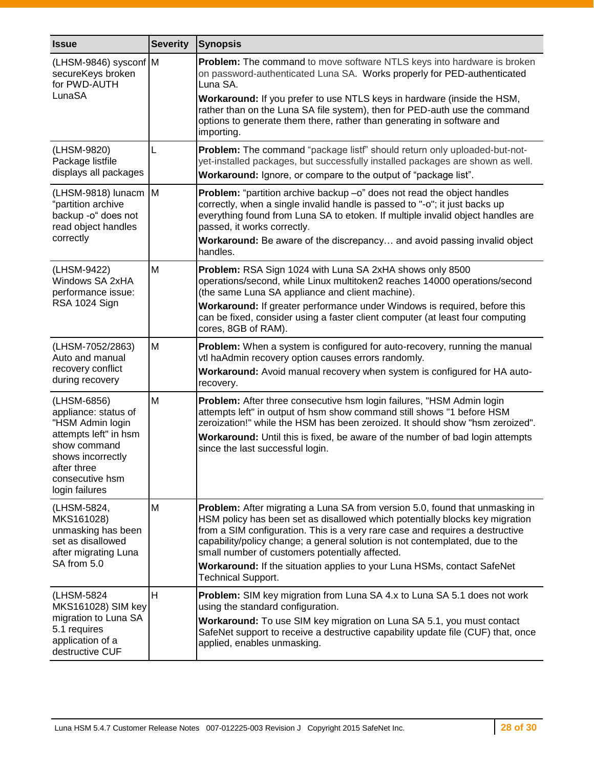<span id="page-27-0"></span>

| <b>Issue</b>                                                                                                                                                              | <b>Severity</b> | <b>Synopsis</b>                                                                                                                                                                                                                                                                                                                                                                                                                                                                   |  |
|---------------------------------------------------------------------------------------------------------------------------------------------------------------------------|-----------------|-----------------------------------------------------------------------------------------------------------------------------------------------------------------------------------------------------------------------------------------------------------------------------------------------------------------------------------------------------------------------------------------------------------------------------------------------------------------------------------|--|
| (LHSM-9846) sysconf M<br>secureKeys broken<br>for PWD-AUTH<br>LunaSA                                                                                                      |                 | Problem: The command to move software NTLS keys into hardware is broken<br>on password-authenticated Luna SA. Works properly for PED-authenticated<br>Luna SA.<br>Workaround: If you prefer to use NTLS keys in hardware (inside the HSM,                                                                                                                                                                                                                                         |  |
|                                                                                                                                                                           |                 | rather than on the Luna SA file system), then for PED-auth use the command<br>options to generate them there, rather than generating in software and<br>importing.                                                                                                                                                                                                                                                                                                                |  |
| (LHSM-9820)<br>Package listfile<br>displays all packages                                                                                                                  | L               | Problem: The command "package listf" should return only uploaded-but-not-<br>yet-installed packages, but successfully installed packages are shown as well.<br>Workaround: Ignore, or compare to the output of "package list".                                                                                                                                                                                                                                                    |  |
| (LHSM-9818) lunacm<br>"partition archive<br>backup -o" does not<br>read object handles<br>correctly                                                                       | Iм              | <b>Problem:</b> "partition archive backup -o" does not read the object handles<br>correctly, when a single invalid handle is passed to "-o"; it just backs up<br>everything found from Luna SA to etoken. If multiple invalid object handles are<br>passed, it works correctly.<br>Workaround: Be aware of the discrepancy and avoid passing invalid object<br>handles.                                                                                                           |  |
| (LHSM-9422)<br>Windows SA 2xHA<br>performance issue:<br>RSA 1024 Sign                                                                                                     | M               | Problem: RSA Sign 1024 with Luna SA 2xHA shows only 8500<br>operations/second, while Linux multitoken2 reaches 14000 operations/second<br>(the same Luna SA appliance and client machine).<br>Workaround: If greater performance under Windows is required, before this<br>can be fixed, consider using a faster client computer (at least four computing<br>cores, 8GB of RAM).                                                                                                  |  |
| (LHSM-7052/2863)<br>Auto and manual<br>recovery conflict<br>during recovery                                                                                               | M               | Problem: When a system is configured for auto-recovery, running the manual<br>vtl haAdmin recovery option causes errors randomly.<br>Workaround: Avoid manual recovery when system is configured for HA auto-<br>recovery.                                                                                                                                                                                                                                                        |  |
| (LHSM-6856)<br>appliance: status of<br>"HSM Admin login<br>attempts left" in hsm<br>show command<br>shows incorrectly<br>after three<br>consecutive hsm<br>login failures | M               | Problem: After three consecutive hsm login failures, "HSM Admin login<br>attempts left" in output of hsm show command still shows "1 before HSM<br>zeroization!" while the HSM has been zeroized. It should show "hsm zeroized".<br>Workaround: Until this is fixed, be aware of the number of bad login attempts<br>since the last successful login.                                                                                                                             |  |
| (LHSM-5824,<br>MKS161028)<br>unmasking has been<br>set as disallowed<br>after migrating Luna<br>SA from 5.0                                                               | M               | Problem: After migrating a Luna SA from version 5.0, found that unmasking in<br>HSM policy has been set as disallowed which potentially blocks key migration<br>from a SIM configuration. This is a very rare case and requires a destructive<br>capability/policy change; a general solution is not contemplated, due to the<br>small number of customers potentially affected.<br>Workaround: If the situation applies to your Luna HSMs, contact SafeNet<br>Technical Support. |  |
| (LHSM-5824<br>MKS161028) SIM key<br>migration to Luna SA<br>5.1 requires<br>application of a<br>destructive CUF                                                           | H               | <b>Problem:</b> SIM key migration from Luna SA 4.x to Luna SA 5.1 does not work<br>using the standard configuration.<br>Workaround: To use SIM key migration on Luna SA 5.1, you must contact<br>SafeNet support to receive a destructive capability update file (CUF) that, once<br>applied, enables unmasking.                                                                                                                                                                  |  |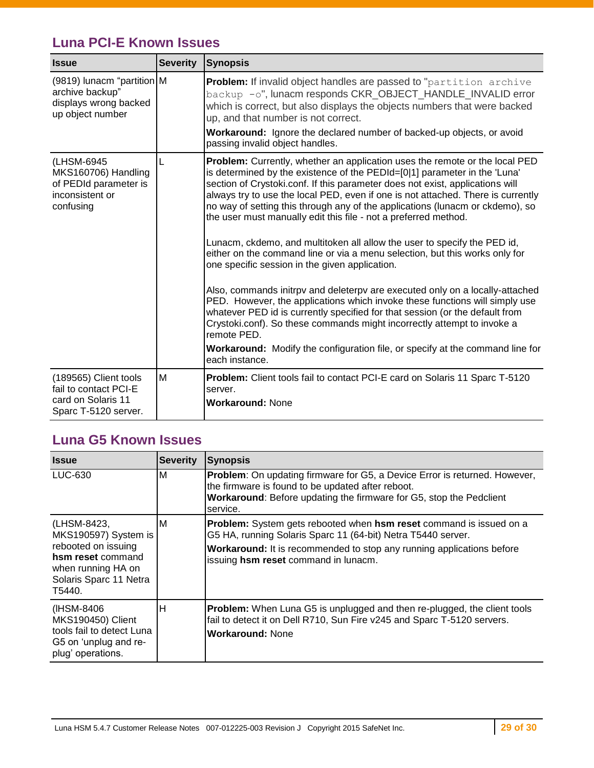## <span id="page-28-0"></span>**Luna PCI-E Known Issues**

| <b>Issue</b>                                                                                 | <b>Severity</b> | Synopsis                                                                                                                                                                                                                                                                                                                                                                                                                                                                                                                                                                                                                                                                                                                                                                                                                                                                                                                                                                                                                                                                                                                                          |  |
|----------------------------------------------------------------------------------------------|-----------------|---------------------------------------------------------------------------------------------------------------------------------------------------------------------------------------------------------------------------------------------------------------------------------------------------------------------------------------------------------------------------------------------------------------------------------------------------------------------------------------------------------------------------------------------------------------------------------------------------------------------------------------------------------------------------------------------------------------------------------------------------------------------------------------------------------------------------------------------------------------------------------------------------------------------------------------------------------------------------------------------------------------------------------------------------------------------------------------------------------------------------------------------------|--|
| (9819) lunacm "partition M<br>archive backup"<br>displays wrong backed<br>up object number   |                 | <b>Problem:</b> If invalid object handles are passed to "partition archive<br>backup -o", lunacm responds CKR_OBJECT_HANDLE_INVALID error<br>which is correct, but also displays the objects numbers that were backed<br>up, and that number is not correct.<br>Workaround: Ignore the declared number of backed-up objects, or avoid<br>passing invalid object handles.                                                                                                                                                                                                                                                                                                                                                                                                                                                                                                                                                                                                                                                                                                                                                                          |  |
| (LHSM-6945<br>MKS160706) Handling<br>of PEDId parameter is<br>inconsistent or<br>confusing   |                 | Problem: Currently, whether an application uses the remote or the local PED<br>is determined by the existence of the PEDId=[0 1] parameter in the 'Luna'<br>section of Crystoki.conf. If this parameter does not exist, applications will<br>always try to use the local PED, even if one is not attached. There is currently<br>no way of setting this through any of the applications (lunacm or ckdemo), so<br>the user must manually edit this file - not a preferred method.<br>Lunacm, ckdemo, and multitoken all allow the user to specify the PED id,<br>either on the command line or via a menu selection, but this works only for<br>one specific session in the given application.<br>Also, commands initrpy and deleterpy are executed only on a locally-attached<br>PED. However, the applications which invoke these functions will simply use<br>whatever PED id is currently specified for that session (or the default from<br>Crystoki.conf). So these commands might incorrectly attempt to invoke a<br>remote PED.<br><b>Workaround:</b> Modify the configuration file, or specify at the command line for<br>each instance. |  |
| (189565) Client tools<br>fail to contact PCI-E<br>card on Solaris 11<br>Sparc T-5120 server. | M               | Problem: Client tools fail to contact PCI-E card on Solaris 11 Sparc T-5120<br>server.<br><b>Workaround: None</b>                                                                                                                                                                                                                                                                                                                                                                                                                                                                                                                                                                                                                                                                                                                                                                                                                                                                                                                                                                                                                                 |  |

### <span id="page-28-1"></span>**Luna G5 Known Issues**

| <b>Issue</b>                                                                                                                              | <b>Severity</b> | <b>Synopsis</b>                                                                                                                                                                                                                                      |
|-------------------------------------------------------------------------------------------------------------------------------------------|-----------------|------------------------------------------------------------------------------------------------------------------------------------------------------------------------------------------------------------------------------------------------------|
| LUC-630                                                                                                                                   | ΙM              | <b>Problem:</b> On updating firmware for G5, a Device Error is returned. However,<br>the firmware is found to be updated after reboot.<br>Workaround: Before updating the firmware for G5, stop the Pedclient<br>service.                            |
| (LHSM-8423,<br>MKS190597) System is<br>rebooted on issuing<br>hsm reset command<br>when running HA on<br>Solaris Sparc 11 Netra<br>T5440. | ΙM              | Problem: System gets rebooted when hsm reset command is issued on a<br>G5 HA, running Solaris Sparc 11 (64-bit) Netra T5440 server.<br>Workaround: It is recommended to stop any running applications before<br>issuing hsm reset command in lunacm. |
| (IHSM-8406)<br>MKS190450) Client<br>tools fail to detect Luna<br>G5 on 'unplug and re-<br>plug' operations.                               | Н               | <b>Problem:</b> When Luna G5 is unplugged and then re-plugged, the client tools<br>fail to detect it on Dell R710, Sun Fire v245 and Sparc T-5120 servers.<br><b>Workaround: None</b>                                                                |